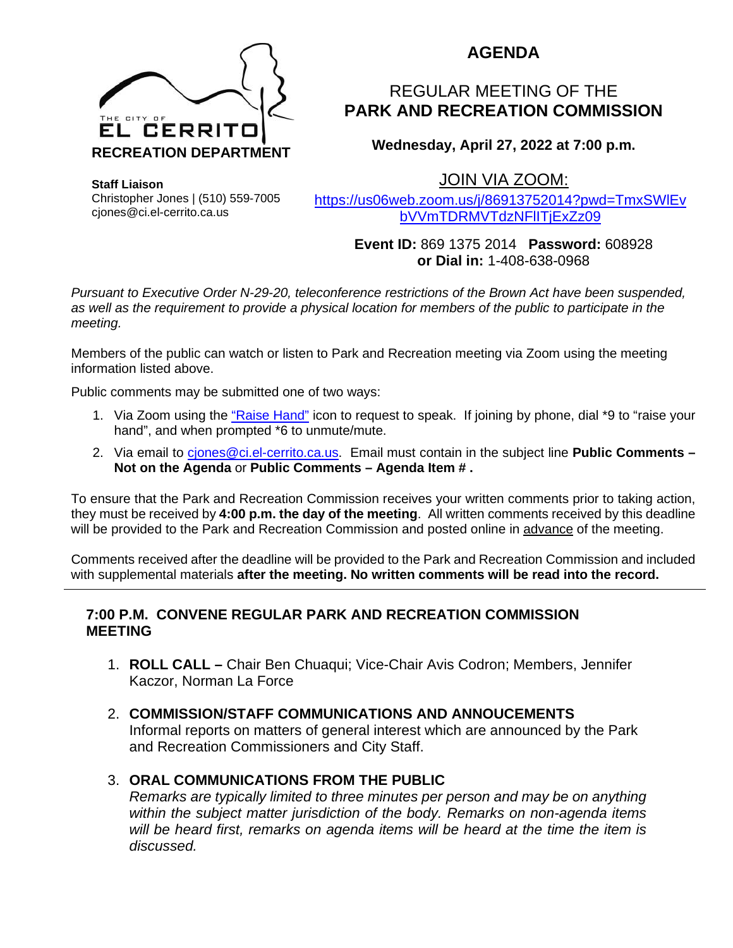

# **AGENDA**

# REGULAR MEETING OF THE **PARK AND RECREATION COMMISSION**

**Wednesday, April 27, 2022 at 7:00 p.m.**

JOIN VIA ZOOM:

**Staff Liaison** Christopher Jones | (510) 559-7005 cjones@ci.el-cerrito.ca.us

[https://us06web.zoom.us/j/86913752014?pwd=TmxSWlEv](https://us06web.zoom.us/j/86913752014?pwd=TmxSWlEvbVVmTDRMVTdzNFlITjExZz09) [bVVmTDRMVTdzNFlITjExZz09](https://us06web.zoom.us/j/86913752014?pwd=TmxSWlEvbVVmTDRMVTdzNFlITjExZz09)

> **Event ID:** 869 1375 2014 **Password:** 608928 **or Dial in:** 1-408-638-0968

*Pursuant to Executive Order N-29-20, teleconference restrictions of the Brown Act have been suspended, as well as the requirement to provide a physical location for members of the public to participate in the meeting.*

Members of the public can watch or listen to Park and Recreation meeting via Zoom using the meeting information listed above.

Public comments may be submitted one of two ways:

- 1. Via Zoom using the ["Raise Hand"](https://support.zoom.us/hc/en-us/articles/205566129%0D-Raise-Hand-In-Webinar) icon to request to speak. If joining by phone, dial \*9 to "raise your hand", and when prompted \*6 to unmute/mute.
- 2. Via email to *ciones@ci.el-cerrito.ca.us.* Email must contain in the subject line **Public Comments -Not on the Agenda** or **Public Comments – Agenda Item # .**

To ensure that the Park and Recreation Commission receives your written comments prior to taking action, they must be received by **4:00 p.m. the day of the meeting**. All written comments received by this deadline will be provided to the Park and Recreation Commission and posted online in advance of the meeting.

Comments received after the deadline will be provided to the Park and Recreation Commission and included with supplemental materials **after the meeting. No written comments will be read into the record.**

#### **7:00 P.M. CONVENE REGULAR PARK AND RECREATION COMMISSION MEETING**

- 1. **ROLL CALL –** Chair Ben Chuaqui; Vice-Chair Avis Codron; Members, Jennifer Kaczor, Norman La Force
- 2. **COMMISSION/STAFF COMMUNICATIONS AND ANNOUCEMENTS** Informal reports on matters of general interest which are announced by the Park and Recreation Commissioners and City Staff.
- 3. **ORAL COMMUNICATIONS FROM THE PUBLIC**

*Remarks are typically limited to three minutes per person and may be on anything within the subject matter jurisdiction of the body. Remarks on non-agenda items will be heard first, remarks on agenda items will be heard at the time the item is discussed.*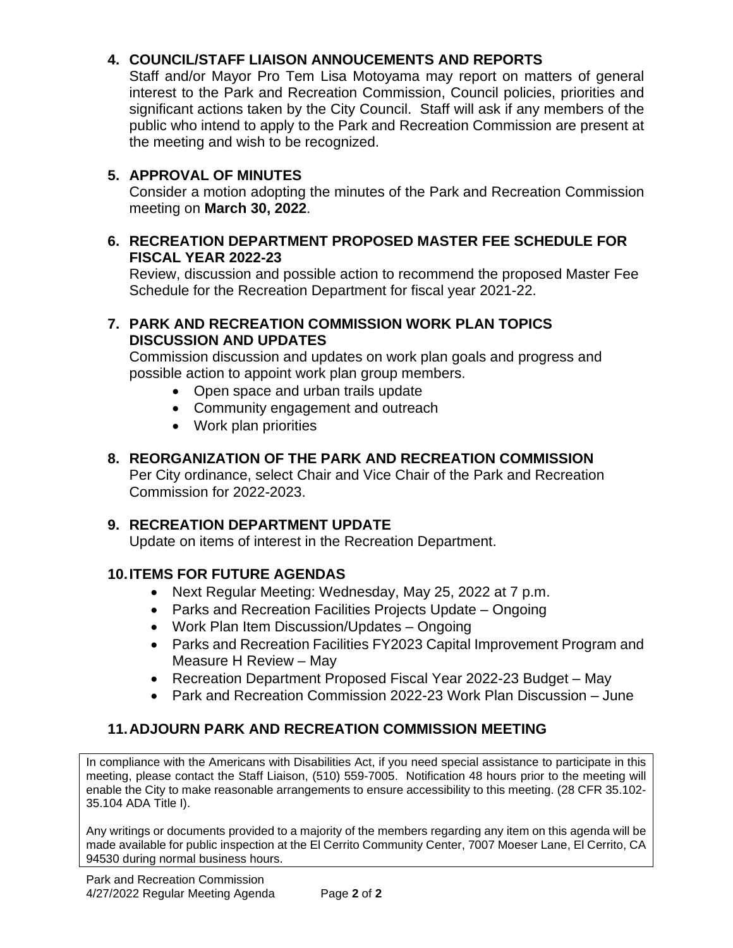### **4. COUNCIL/STAFF LIAISON ANNOUCEMENTS AND REPORTS**

Staff and/or Mayor Pro Tem Lisa Motoyama may report on matters of general interest to the Park and Recreation Commission, Council policies, priorities and significant actions taken by the City Council. Staff will ask if any members of the public who intend to apply to the Park and Recreation Commission are present at the meeting and wish to be recognized.

### **5. APPROVAL OF MINUTES**

Consider a motion adopting the minutes of the Park and Recreation Commission meeting on **March 30, 2022**.

#### **6. RECREATION DEPARTMENT PROPOSED MASTER FEE SCHEDULE FOR FISCAL YEAR 2022-23**

Review, discussion and possible action to recommend the proposed Master Fee Schedule for the Recreation Department for fiscal year 2021-22.

#### **7. PARK AND RECREATION COMMISSION WORK PLAN TOPICS DISCUSSION AND UPDATES**

Commission discussion and updates on work plan goals and progress and possible action to appoint work plan group members.

- Open space and urban trails update
- Community engagement and outreach
- Work plan priorities

#### **8. REORGANIZATION OF THE PARK AND RECREATION COMMISSION**

Per City ordinance, select Chair and Vice Chair of the Park and Recreation Commission for 2022-2023.

#### **9. RECREATION DEPARTMENT UPDATE**

Update on items of interest in the Recreation Department.

#### **10.ITEMS FOR FUTURE AGENDAS**

- Next Regular Meeting: Wednesday, May 25, 2022 at 7 p.m.
- Parks and Recreation Facilities Projects Update Ongoing
- Work Plan Item Discussion/Updates Ongoing
- Parks and Recreation Facilities FY2023 Capital Improvement Program and Measure H Review – May
- Recreation Department Proposed Fiscal Year 2022-23 Budget May
- Park and Recreation Commission 2022-23 Work Plan Discussion June

### **11.ADJOURN PARK AND RECREATION COMMISSION MEETING**

In compliance with the Americans with Disabilities Act, if you need special assistance to participate in this meeting, please contact the Staff Liaison, (510) 559-7005. Notification 48 hours prior to the meeting will enable the City to make reasonable arrangements to ensure accessibility to this meeting. (28 CFR 35.102- 35.104 ADA Title I).

Any writings or documents provided to a majority of the members regarding any item on this agenda will be made available for public inspection at the El Cerrito Community Center, 7007 Moeser Lane, El Cerrito, CA 94530 during normal business hours.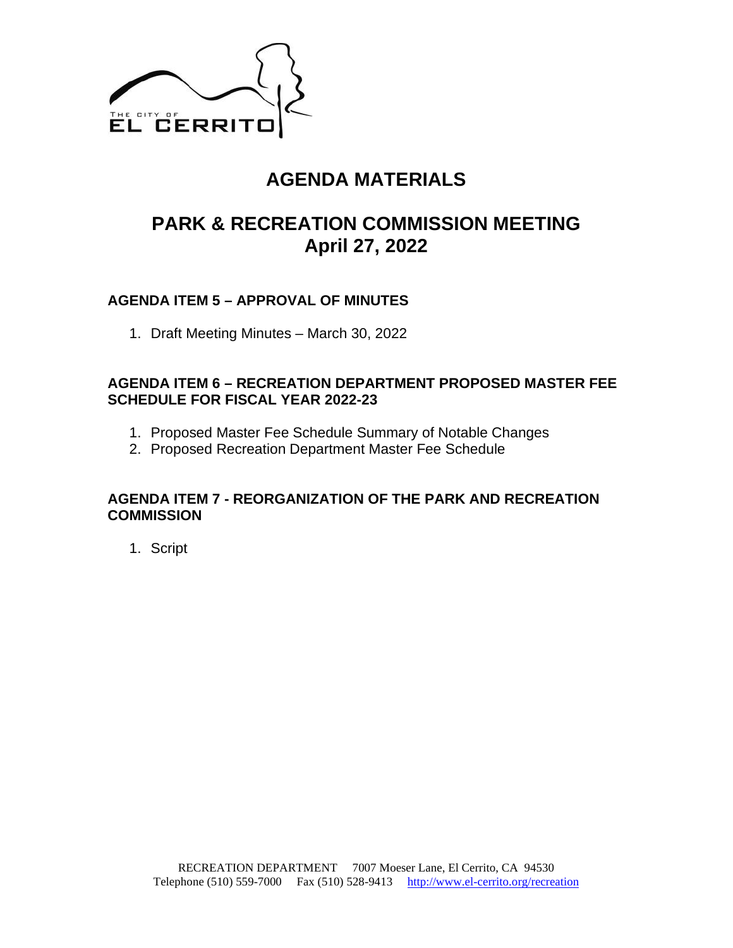

# **AGENDA MATERIALS**

# **PARK & RECREATION COMMISSION MEETING April 27, 2022**

### **AGENDA ITEM 5 – APPROVAL OF MINUTES**

1. Draft Meeting Minutes – March 30, 2022

### **AGENDA ITEM 6 – RECREATION DEPARTMENT PROPOSED MASTER FEE SCHEDULE FOR FISCAL YEAR 2022-23**

- 1. Proposed Master Fee Schedule Summary of Notable Changes
- 2. Proposed Recreation Department Master Fee Schedule

#### **AGENDA ITEM 7 - REORGANIZATION OF THE PARK AND RECREATION COMMISSION**

1. Script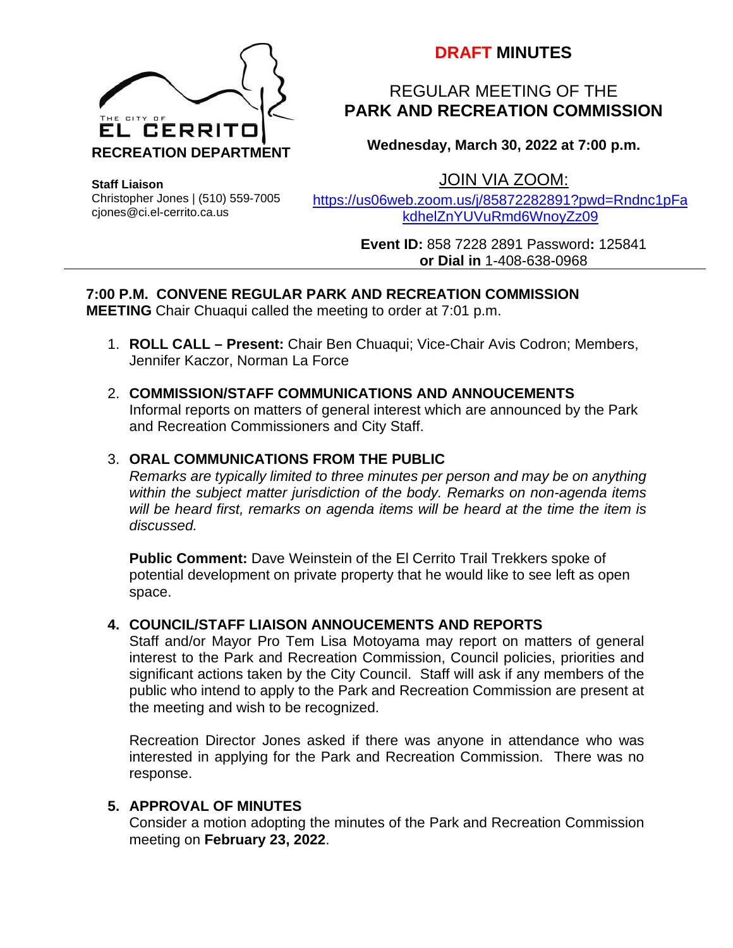

# **DRAFT MINUTES**

# REGULAR MEETING OF THE **PARK AND RECREATION COMMISSION**

**Wednesday, March 30, 2022 at 7:00 p.m.**

**Staff Liaison**

Christopher Jones | (510) 559-7005 cjones@ci.el-cerrito.ca.us

JOIN VIA ZOOM: [https://us06web.zoom.us/j/85872282891?pwd=Rndnc1pFa](https://us06web.zoom.us/j/85872282891?pwd=Rndnc1pFakdhelZnYUVuRmd6WnoyZz09)

[kdhelZnYUVuRmd6WnoyZz09](https://us06web.zoom.us/j/85872282891?pwd=Rndnc1pFakdhelZnYUVuRmd6WnoyZz09)

**Event ID:** 858 7228 2891 Password**:** 125841 **or Dial in** 1-408-638-0968

# **7:00 P.M. CONVENE REGULAR PARK AND RECREATION COMMISSION**

**MEETING** Chair Chuaqui called the meeting to order at 7:01 p.m.

- 1. **ROLL CALL – Present:** Chair Ben Chuaqui; Vice-Chair Avis Codron; Members, Jennifer Kaczor, Norman La Force
- 2. **COMMISSION/STAFF COMMUNICATIONS AND ANNOUCEMENTS** Informal reports on matters of general interest which are announced by the Park and Recreation Commissioners and City Staff.

### 3. **ORAL COMMUNICATIONS FROM THE PUBLIC**

*Remarks are typically limited to three minutes per person and may be on anything within the subject matter jurisdiction of the body. Remarks on non-agenda items will be heard first, remarks on agenda items will be heard at the time the item is discussed.*

**Public Comment:** Dave Weinstein of the El Cerrito Trail Trekkers spoke of potential development on private property that he would like to see left as open space.

### **4. COUNCIL/STAFF LIAISON ANNOUCEMENTS AND REPORTS**

Staff and/or Mayor Pro Tem Lisa Motoyama may report on matters of general interest to the Park and Recreation Commission, Council policies, priorities and significant actions taken by the City Council. Staff will ask if any members of the public who intend to apply to the Park and Recreation Commission are present at the meeting and wish to be recognized.

Recreation Director Jones asked if there was anyone in attendance who was interested in applying for the Park and Recreation Commission. There was no response.

### **5. APPROVAL OF MINUTES**

Consider a motion adopting the minutes of the Park and Recreation Commission meeting on **February 23, 2022**.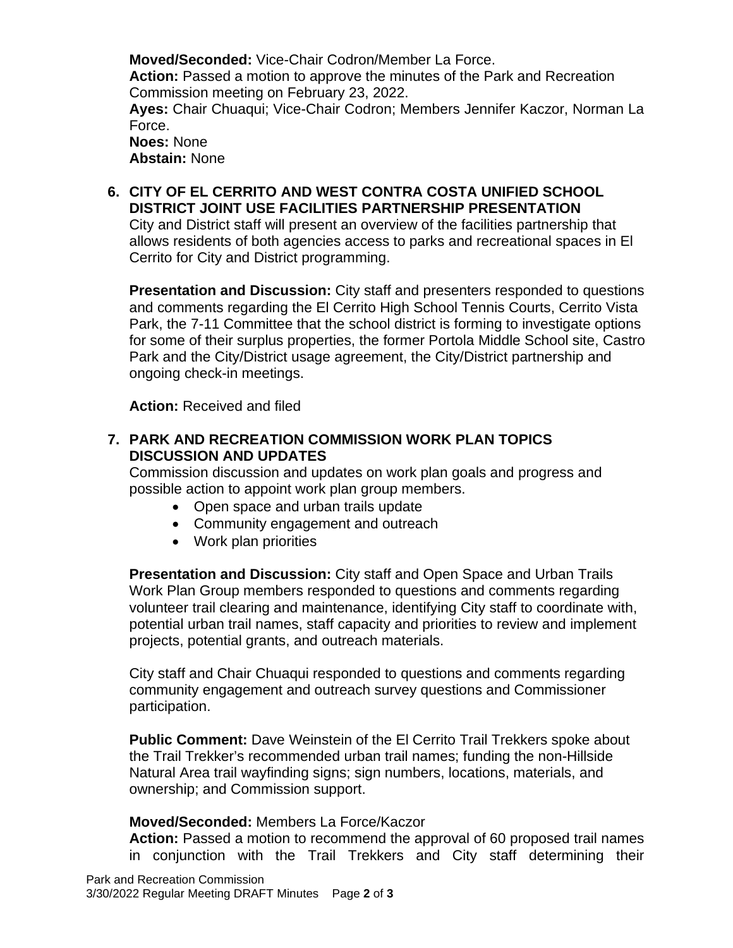**Moved/Seconded:** Vice-Chair Codron/Member La Force. **Action:** Passed a motion to approve the minutes of the Park and Recreation Commission meeting on February 23, 2022. **Ayes:** Chair Chuaqui; Vice-Chair Codron; Members Jennifer Kaczor, Norman La Force. **Noes:** None **Abstain:** None

**6. CITY OF EL CERRITO AND WEST CONTRA COSTA UNIFIED SCHOOL DISTRICT JOINT USE FACILITIES PARTNERSHIP PRESENTATION**

City and District staff will present an overview of the facilities partnership that allows residents of both agencies access to parks and recreational spaces in El Cerrito for City and District programming.

**Presentation and Discussion:** City staff and presenters responded to questions and comments regarding the El Cerrito High School Tennis Courts, Cerrito Vista Park, the 7-11 Committee that the school district is forming to investigate options for some of their surplus properties, the former Portola Middle School site, Castro Park and the City/District usage agreement, the City/District partnership and ongoing check-in meetings.

**Action:** Received and filed

#### **7. PARK AND RECREATION COMMISSION WORK PLAN TOPICS DISCUSSION AND UPDATES**

Commission discussion and updates on work plan goals and progress and possible action to appoint work plan group members.

- Open space and urban trails update
- Community engagement and outreach
- Work plan priorities

**Presentation and Discussion:** City staff and Open Space and Urban Trails Work Plan Group members responded to questions and comments regarding volunteer trail clearing and maintenance, identifying City staff to coordinate with, potential urban trail names, staff capacity and priorities to review and implement projects, potential grants, and outreach materials.

City staff and Chair Chuaqui responded to questions and comments regarding community engagement and outreach survey questions and Commissioner participation.

**Public Comment:** Dave Weinstein of the El Cerrito Trail Trekkers spoke about the Trail Trekker's recommended urban trail names; funding the non-Hillside Natural Area trail wayfinding signs; sign numbers, locations, materials, and ownership; and Commission support.

#### **Moved/Seconded:** Members La Force/Kaczor

**Action:** Passed a motion to recommend the approval of 60 proposed trail names in conjunction with the Trail Trekkers and City staff determining their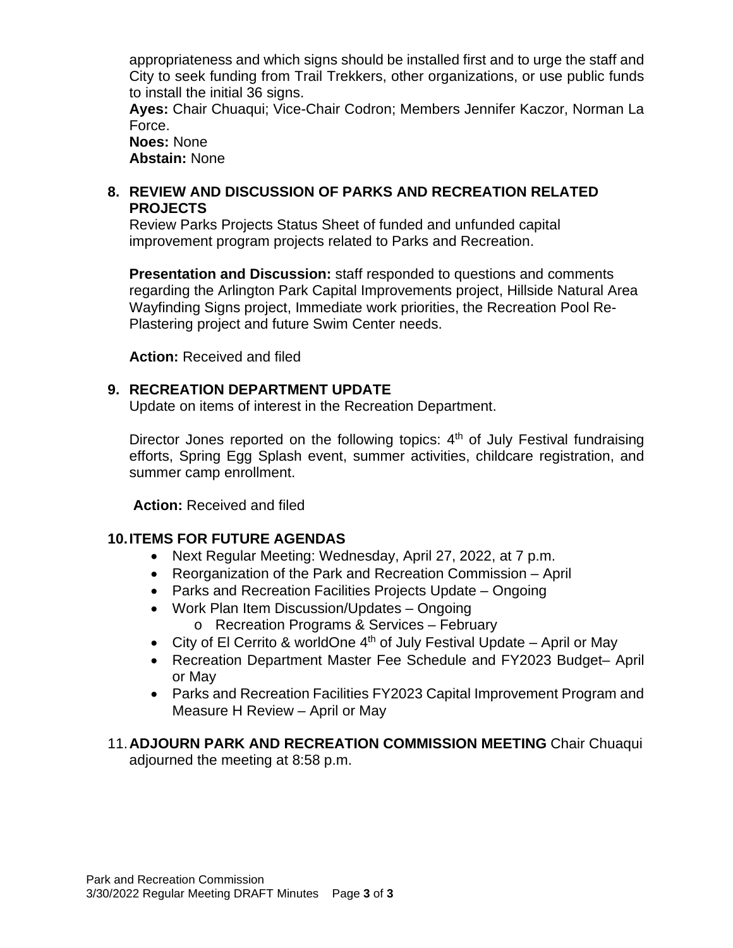appropriateness and which signs should be installed first and to urge the staff and City to seek funding from Trail Trekkers, other organizations, or use public funds to install the initial 36 signs.

**Ayes:** Chair Chuaqui; Vice-Chair Codron; Members Jennifer Kaczor, Norman La Force.

**Noes:** None **Abstain:** None

#### **8. REVIEW AND DISCUSSION OF PARKS AND RECREATION RELATED PROJECTS**

Review Parks Projects Status Sheet of funded and unfunded capital improvement program projects related to Parks and Recreation.

**Presentation and Discussion:** staff responded to questions and comments regarding the Arlington Park Capital Improvements project, Hillside Natural Area Wayfinding Signs project, Immediate work priorities, the Recreation Pool Re-Plastering project and future Swim Center needs.

**Action:** Received and filed

#### **9. RECREATION DEPARTMENT UPDATE**

Update on items of interest in the Recreation Department.

Director Jones reported on the following topics:  $4<sup>th</sup>$  of July Festival fundraising efforts, Spring Egg Splash event, summer activities, childcare registration, and summer camp enrollment.

**Action:** Received and filed

#### **10.ITEMS FOR FUTURE AGENDAS**

- Next Regular Meeting: Wednesday, April 27, 2022, at 7 p.m.
- Reorganization of the Park and Recreation Commission April
- Parks and Recreation Facilities Projects Update Ongoing
- Work Plan Item Discussion/Updates Ongoing
	- o Recreation Programs & Services February
- City of El Cerrito & worldOne  $4<sup>th</sup>$  of July Festival Update April or May
- Recreation Department Master Fee Schedule and FY2023 Budget– April or May
- Parks and Recreation Facilities FY2023 Capital Improvement Program and Measure H Review – April or May
- 11.**ADJOURN PARK AND RECREATION COMMISSION MEETING** Chair Chuaqui adjourned the meeting at 8:58 p.m.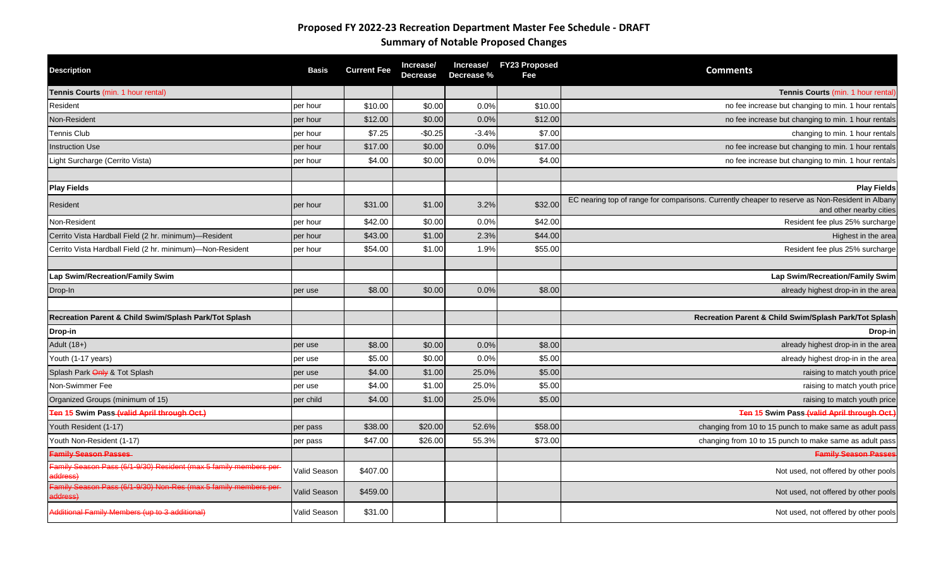# **Proposed FY 2022-23 Recreation Department Master Fee Schedule - DRAFT Summary of Notable Proposed Changes**

| <b>Description</b>                                                              | <b>Basis</b> | <b>Current Fee</b> | Increase/<br><b>Decrease</b> | Increase/<br>Decrease % | <b>FY23 Proposed</b><br>Fee | <b>Comments</b>                                                                                 |
|---------------------------------------------------------------------------------|--------------|--------------------|------------------------------|-------------------------|-----------------------------|-------------------------------------------------------------------------------------------------|
| Tennis Courts (min. 1 hour rental)                                              |              |                    |                              |                         |                             | Tennis Courts (min. 1 hour rental)                                                              |
| Resident                                                                        | per hour     | \$10.00            | \$0.00                       | 0.0%                    | \$10.00                     | no fee increase but changing to min. 1 hour rentals                                             |
| Non-Resident                                                                    | per hour     | \$12.00            | \$0.00                       | 0.0%                    | \$12.00                     | no fee increase but changing to min. 1 hour rentals                                             |
| <b>Tennis Club</b>                                                              | per hour     | \$7.25             | $-$0.25$                     | $-3.4%$                 | \$7.00                      | changing to min. 1 hour rentals                                                                 |
| nstruction Use                                                                  | per hour     | \$17.00            | \$0.00                       | 0.0%                    | \$17.00                     | no fee increase but changing to min. 1 hour rentals                                             |
| Light Surcharge (Cerrito Vista)                                                 | per hour     | \$4.00             | \$0.00                       | 0.0%                    | \$4.00                      | no fee increase but changing to min. 1 hour rentals                                             |
| <b>Play Fields</b>                                                              |              |                    |                              |                         |                             | <b>Play Fields</b>                                                                              |
|                                                                                 |              |                    |                              |                         |                             | EC nearing top of range for comparisons. Currently cheaper to reserve as Non-Resident in Albany |
| Resident                                                                        | per hour     | \$31.00            | \$1.00                       | 3.2%                    | \$32.00                     | and other nearby cities                                                                         |
| Non-Resident                                                                    | per hour     | \$42.00            | \$0.00                       | 0.0%                    | \$42.00                     | Resident fee plus 25% surcharge                                                                 |
| Cerrito Vista Hardball Field (2 hr. minimum)-Resident                           | per hour     | \$43.00            | \$1.00                       | 2.3%                    | \$44.00                     | Highest in the area                                                                             |
| Cerrito Vista Hardball Field (2 hr. minimum)-Non-Resident                       | per hour     | \$54.00            | \$1.00                       | 1.9%                    | \$55.00                     | Resident fee plus 25% surcharge                                                                 |
|                                                                                 |              |                    |                              |                         |                             |                                                                                                 |
| Lap Swim/Recreation/Family Swim                                                 |              |                    |                              |                         |                             | Lap Swim/Recreation/Family Swim                                                                 |
| Drop-In                                                                         | per use      | \$8.00             | \$0.00                       | 0.0%                    | \$8.00                      | already highest drop-in in the area                                                             |
|                                                                                 |              |                    |                              |                         |                             |                                                                                                 |
| Recreation Parent & Child Swim/Splash Park/Tot Splash                           |              |                    |                              |                         |                             | Recreation Parent & Child Swim/Splash Park/Tot Splash                                           |
| Drop-in                                                                         |              |                    |                              |                         |                             | Drop-in                                                                                         |
| Adult (18+)                                                                     | per use      | \$8.00             | \$0.00                       | 0.0%                    | \$8.00                      | already highest drop-in in the area                                                             |
| Youth (1-17 years)                                                              | per use      | \$5.00             | \$0.00                       | 0.0%                    | \$5.00                      | already highest drop-in in the area                                                             |
| Splash Park Only & Tot Splash                                                   | per use      | \$4.00             | \$1.00                       | 25.0%                   | \$5.00                      | raising to match youth price                                                                    |
| Non-Swimmer Fee                                                                 | per use      | \$4.00             | \$1.00                       | 25.0%                   | \$5.00                      | raising to match youth price                                                                    |
| Organized Groups (minimum of 15)<br>Ten 15 Swim Pass (valid April through Oct.) | per child    | \$4.00             | \$1.00                       | 25.0%                   | \$5.00                      | raising to match youth price<br>Ten 15 Swim Pass (valid April through Oct.)                     |
| Youth Resident (1-17)                                                           | per pass     | \$38.00            | \$20.00                      | 52.6%                   | \$58.00                     | changing from 10 to 15 punch to make same as adult pass                                         |
| Youth Non-Resident (1-17)                                                       | per pass     | \$47.00            | \$26.00                      | 55.3%                   | \$73.00                     | changing from 10 to 15 punch to make same as adult pass                                         |
| <b>Family Season Passes</b>                                                     |              |                    |                              |                         |                             | <b>Family Season Passer</b>                                                                     |
| Family Season Pass (6/1-9/30) Resident (max 5 family members per-<br>address)   | Valid Season | \$407.00           |                              |                         |                             | Not used, not offered by other pools                                                            |
| Family Season Pass (6/1-9/30) Non-Res (max 5 family members per<br>address)     | Valid Season | \$459.00           |                              |                         |                             | Not used, not offered by other pools                                                            |
| Additional Family Members (up to 3 additional)                                  | Valid Season | \$31.00            |                              |                         |                             | Not used, not offered by other pools                                                            |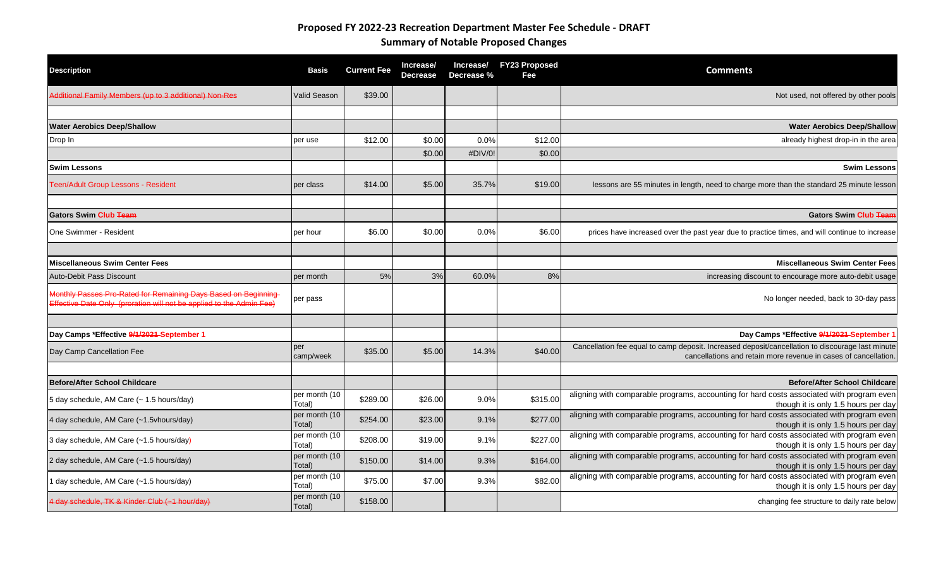# **Proposed FY 2022-23 Recreation Department Master Fee Schedule - DRAFT Summary of Notable Proposed Changes**

| <b>Description</b>                                                                                                                     | <b>Basis</b>            | <b>Current Fee</b> | Increase/<br><b>Decrease</b> | Increase/<br>Decrease % | <b>FY23 Proposed</b><br>Fee | <b>Comments</b>                                                                                                                                                     |
|----------------------------------------------------------------------------------------------------------------------------------------|-------------------------|--------------------|------------------------------|-------------------------|-----------------------------|---------------------------------------------------------------------------------------------------------------------------------------------------------------------|
| Additional Family Members (up to 3 additional) Non-Res                                                                                 | Valid Season            | \$39.00            |                              |                         |                             | Not used, not offered by other pools                                                                                                                                |
| <b>Water Aerobics Deep/Shallow</b>                                                                                                     |                         |                    |                              |                         |                             | <b>Water Aerobics Deep/Shallow</b>                                                                                                                                  |
| Drop In                                                                                                                                | per use                 | \$12.00            | \$0.00                       | 0.0%                    | \$12.00                     | already highest drop-in in the area                                                                                                                                 |
|                                                                                                                                        |                         |                    | \$0.00                       | #DIV/0!                 | \$0.00                      |                                                                                                                                                                     |
| <b>Swim Lessons</b>                                                                                                                    |                         |                    |                              |                         |                             | <b>Swim Lessons</b>                                                                                                                                                 |
| Teen/Adult Group Lessons - Resident                                                                                                    | per class               | \$14.00            | \$5.00                       | 35.7%                   | \$19.00                     | lessons are 55 minutes in length, need to charge more than the standard 25 minute lesson                                                                            |
| <b>Gators Swim Club Team</b>                                                                                                           |                         |                    |                              |                         |                             | <b>Gators Swim Club Team</b>                                                                                                                                        |
| One Swimmer - Resident                                                                                                                 | per hour                | \$6.00             | \$0.00                       | 0.0%                    | \$6.00                      | prices have increased over the past year due to practice times, and will continue to increase                                                                       |
| <b>Miscellaneous Swim Center Fees</b>                                                                                                  |                         |                    |                              |                         |                             | <b>Miscellaneous Swim Center Fees</b>                                                                                                                               |
| Auto-Debit Pass Discount                                                                                                               | per month               | 5%                 | 3%                           | 60.0%                   | 8%                          | increasing discount to encourage more auto-debit usage                                                                                                              |
| Monthly Passes Pro-Rated for Remaining Days Based on Beginning<br>Effective Date Only (proration will not be applied to the Admin Fee) | per pass                |                    |                              |                         |                             | No longer needed, back to 30-day pass                                                                                                                               |
|                                                                                                                                        |                         |                    |                              |                         |                             |                                                                                                                                                                     |
| Day Camps *Effective 9/1/2021 September 1                                                                                              |                         |                    |                              |                         |                             | Day Camps *Effective 9/1/2021 September 1                                                                                                                           |
| Day Camp Cancellation Fee                                                                                                              | per<br>camp/week        | \$35.00            | \$5.00                       | 14.3%                   | \$40.00                     | Cancellation fee equal to camp deposit. Increased deposit/cancellation to discourage last minute<br>cancellations and retain more revenue in cases of cancellation. |
|                                                                                                                                        |                         |                    |                              |                         |                             |                                                                                                                                                                     |
| <b>Before/After School Childcare</b>                                                                                                   | per month (10           |                    |                              |                         |                             | <b>Before/After School Childcare</b><br>aligning with comparable programs, accounting for hard costs associated with program even                                   |
| 5 day schedule, AM Care (~ 1.5 hours/day)                                                                                              | Total)                  | \$289.00           | \$26.00                      | 9.0%                    | \$315.00                    | though it is only 1.5 hours per day                                                                                                                                 |
| 4 day schedule, AM Care (~1.5vhours/day)                                                                                               | per month (10<br>Total) | \$254.00           | \$23.00                      | 9.1%                    | \$277.00                    | aligning with comparable programs, accounting for hard costs associated with program even<br>though it is only 1.5 hours per day                                    |
| 3 day schedule, AM Care (~1.5 hours/day)                                                                                               | per month (10<br>Total) | \$208.00           | \$19.00                      | 9.1%                    | \$227.00                    | aligning with comparable programs, accounting for hard costs associated with program even<br>though it is only 1.5 hours per day                                    |
| 2 day schedule, AM Care (~1.5 hours/day)                                                                                               | per month (10<br>Total) | \$150.00           | \$14.00                      | 9.3%                    | \$164.00                    | aligning with comparable programs, accounting for hard costs associated with program even<br>though it is only 1.5 hours per day                                    |
| 1 day schedule, AM Care (~1.5 hours/day)                                                                                               | per month (10<br>Total) | \$75.00            | \$7.00                       | 9.3%                    | \$82.00                     | aligning with comparable programs, accounting for hard costs associated with program even<br>though it is only 1.5 hours per day                                    |
| 4 day schedule, TK & Kinder Club (~1 hour/day)                                                                                         | per month (10<br>Total) | \$158.00           |                              |                         |                             | changing fee structure to daily rate below                                                                                                                          |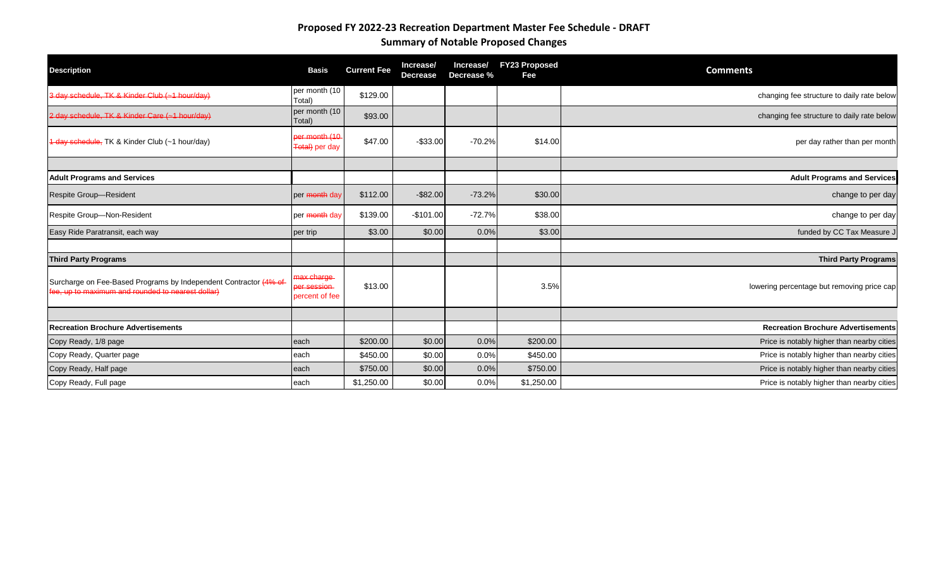# **Proposed FY 2022-23 Recreation Department Master Fee Schedule - DRAFT Summary of Notable Proposed Changes**

| <b>Description</b>                                                                                                    | <b>Basis</b>                                | <b>Current Fee</b> | Increase/<br><b>Decrease</b> | Increase/<br>Decrease % | <b>FY23 Proposed</b><br>Fee | <b>Comments</b>                            |
|-----------------------------------------------------------------------------------------------------------------------|---------------------------------------------|--------------------|------------------------------|-------------------------|-----------------------------|--------------------------------------------|
| 3 day schedule, TK & Kinder Club (~1 hour/day)                                                                        | per month (10<br>Total)                     | \$129.00           |                              |                         |                             | changing fee structure to daily rate below |
| 2 day schedule, TK & Kinder Care (~1 hour/day)                                                                        | per month (10<br>Total)                     | \$93.00            |                              |                         |                             | changing fee structure to daily rate below |
| 1 day schedule, TK & Kinder Club (~1 hour/day)                                                                        | per month (10<br><del>Total)</del> per day  | \$47.00            | $-$ \$33.00                  | $-70.2%$                | \$14.00                     | per day rather than per month              |
|                                                                                                                       |                                             |                    |                              |                         |                             |                                            |
| <b>Adult Programs and Services</b>                                                                                    |                                             |                    |                              |                         |                             | <b>Adult Programs and Services</b>         |
| <b>Respite Group-Resident</b>                                                                                         | per month day                               | \$112.00           | $-$ \$82.00                  | $-73.2%$                | \$30.00                     | change to per day                          |
| Respite Group-Non-Resident                                                                                            | per month day                               | \$139.00           | $-$101.00$                   | $-72.7%$                | \$38.00                     | change to per day                          |
| Easy Ride Paratransit, each way                                                                                       | per trip                                    | \$3.00             | \$0.00                       | 0.0%                    | \$3.00                      | funded by CC Tax Measure J                 |
| <b>Third Party Programs</b>                                                                                           |                                             |                    |                              |                         |                             | <b>Third Party Programs</b>                |
| Surcharge on Fee-Based Programs by Independent Contractor (4% of<br>fee, up to maximum and rounded to nearest dollar) | max charge<br>per session<br>percent of fee | \$13.00            |                              |                         | 3.5%                        | lowering percentage but removing price cap |
|                                                                                                                       |                                             |                    |                              |                         |                             |                                            |
| <b>Recreation Brochure Advertisements</b>                                                                             |                                             |                    |                              |                         |                             | <b>Recreation Brochure Advertisements</b>  |
| Copy Ready, 1/8 page                                                                                                  | each                                        | \$200.00           | \$0.00                       | 0.0%                    | \$200.00                    | Price is notably higher than nearby cities |
| Copy Ready, Quarter page                                                                                              | each                                        | \$450.00           | \$0.00                       | 0.0%                    | \$450.00                    | Price is notably higher than nearby cities |
| Copy Ready, Half page                                                                                                 | each                                        | \$750.00           | \$0.00                       | 0.0%                    | \$750.00                    | Price is notably higher than nearby cities |
| Copy Ready, Full page                                                                                                 | each                                        | \$1,250.00         | \$0.00                       | 0.0%                    | \$1,250.00                  | Price is notably higher than nearby cities |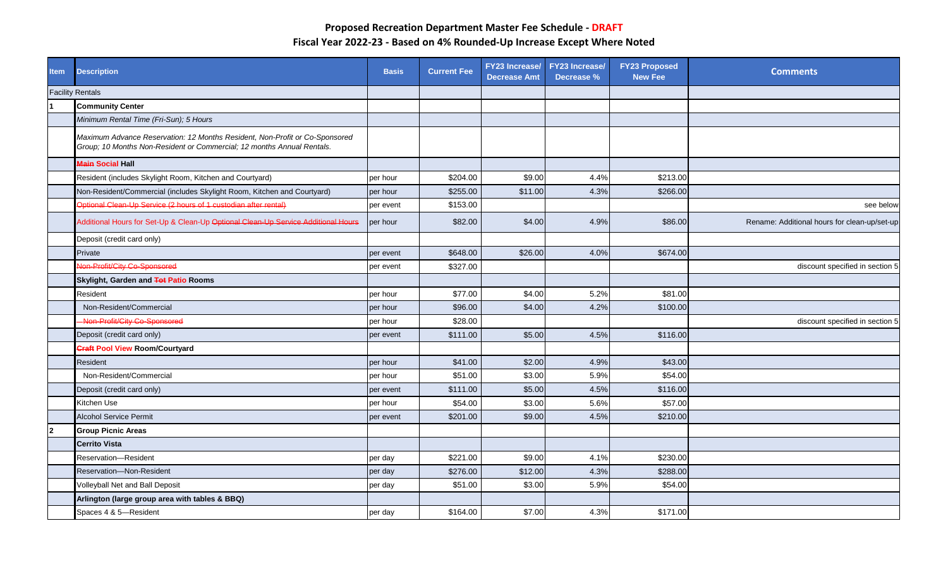| <b>Item</b>    | <b>Description</b>                                                                                                                                    | <b>Basis</b> | <b>Current Fee</b> | <b>FY23 Increase/</b><br><b>Decrease Amt</b> | <b>FY23 Increase/</b><br>Decrease % | <b>FY23 Proposed</b><br><b>New Fee</b> | <b>Comments</b>                              |
|----------------|-------------------------------------------------------------------------------------------------------------------------------------------------------|--------------|--------------------|----------------------------------------------|-------------------------------------|----------------------------------------|----------------------------------------------|
|                | <b>Facility Rentals</b>                                                                                                                               |              |                    |                                              |                                     |                                        |                                              |
|                | <b>Community Center</b>                                                                                                                               |              |                    |                                              |                                     |                                        |                                              |
|                | Minimum Rental Time (Fri-Sun); 5 Hours                                                                                                                |              |                    |                                              |                                     |                                        |                                              |
|                | Maximum Advance Reservation: 12 Months Resident, Non-Profit or Co-Sponsored<br>Group; 10 Months Non-Resident or Commercial; 12 months Annual Rentals. |              |                    |                                              |                                     |                                        |                                              |
|                | Main Social Hall                                                                                                                                      |              |                    |                                              |                                     |                                        |                                              |
|                | Resident (includes Skylight Room, Kitchen and Courtyard)                                                                                              | per hour     | \$204.00           | \$9.00                                       | 4.4%                                | \$213.00                               |                                              |
|                | Non-Resident/Commercial (includes Skylight Room, Kitchen and Courtyard)                                                                               | per hour     | \$255.00           | \$11.00                                      | 4.3%                                | \$266.00                               |                                              |
|                | Optional Clean-Up Service (2 hours of 1 custodian after rental)                                                                                       | per event    | \$153.00           |                                              |                                     |                                        | see below                                    |
|                | Additional Hours for Set-Up & Clean-Up Optional Clean-Up Service Additional Hours                                                                     | per hour     | \$82.00            | \$4.00                                       | 4.9%                                | \$86.00                                | Rename: Additional hours for clean-up/set-up |
|                | Deposit (credit card only)                                                                                                                            |              |                    |                                              |                                     |                                        |                                              |
|                | Private                                                                                                                                               | per event    | \$648.00           | \$26.00                                      | 4.0%                                | \$674.00                               |                                              |
|                | Non-Profit/City Co-Sponsored                                                                                                                          | per event    | \$327.00           |                                              |                                     |                                        | discount specified in section 5              |
|                | Skylight, Garden and Tot Patio Rooms                                                                                                                  |              |                    |                                              |                                     |                                        |                                              |
|                | Resident                                                                                                                                              | per hour     | \$77.00            | \$4.00                                       | 5.2%                                | \$81.00                                |                                              |
|                | Non-Resident/Commercial                                                                                                                               | per hour     | \$96.00            | \$4.00                                       | 4.2%                                | \$100.00                               |                                              |
|                | Non-Profit/City Co-Sponsored                                                                                                                          | per hour     | \$28.00            |                                              |                                     |                                        | discount specified in section 5              |
|                | Deposit (credit card only)                                                                                                                            | per event    | \$111.00           | \$5.00                                       | 4.5%                                | \$116.00                               |                                              |
|                | <b>Craft Pool View Room/Courtyard</b>                                                                                                                 |              |                    |                                              |                                     |                                        |                                              |
|                | Resident                                                                                                                                              | per hour     | \$41.00            | \$2.00                                       | 4.9%                                | \$43.00                                |                                              |
|                | Non-Resident/Commercial                                                                                                                               | per hour     | \$51.00            | \$3.00                                       | 5.9%                                | \$54.00                                |                                              |
|                | Deposit (credit card only)                                                                                                                            | per event    | \$111.00           | \$5.00                                       | 4.5%                                | \$116.00                               |                                              |
|                | Kitchen Use                                                                                                                                           | per hour     | \$54.00            | \$3.00                                       | 5.6%                                | \$57.00                                |                                              |
|                | <b>Alcohol Service Permit</b>                                                                                                                         | per event    | \$201.00           | \$9.00                                       | 4.5%                                | \$210.00                               |                                              |
| $\overline{2}$ | <b>Group Picnic Areas</b>                                                                                                                             |              |                    |                                              |                                     |                                        |                                              |
|                | <b>Cerrito Vista</b>                                                                                                                                  |              |                    |                                              |                                     |                                        |                                              |
|                | Reservation-Resident                                                                                                                                  | per day      | \$221.00           | \$9.00                                       | 4.1%                                | \$230.00                               |                                              |
|                | <b>Reservation-Non-Resident</b>                                                                                                                       | per day      | \$276.00           | \$12.00                                      | 4.3%                                | \$288.00                               |                                              |
|                | Volleyball Net and Ball Deposit                                                                                                                       | per day      | \$51.00            | \$3.00                                       | 5.9%                                | \$54.00                                |                                              |
|                | Arlington (large group area with tables & BBQ)                                                                                                        |              |                    |                                              |                                     |                                        |                                              |
|                | Spaces 4 & 5-Resident                                                                                                                                 | per day      | \$164.00           | \$7.00                                       | 4.3%                                | \$171.00                               |                                              |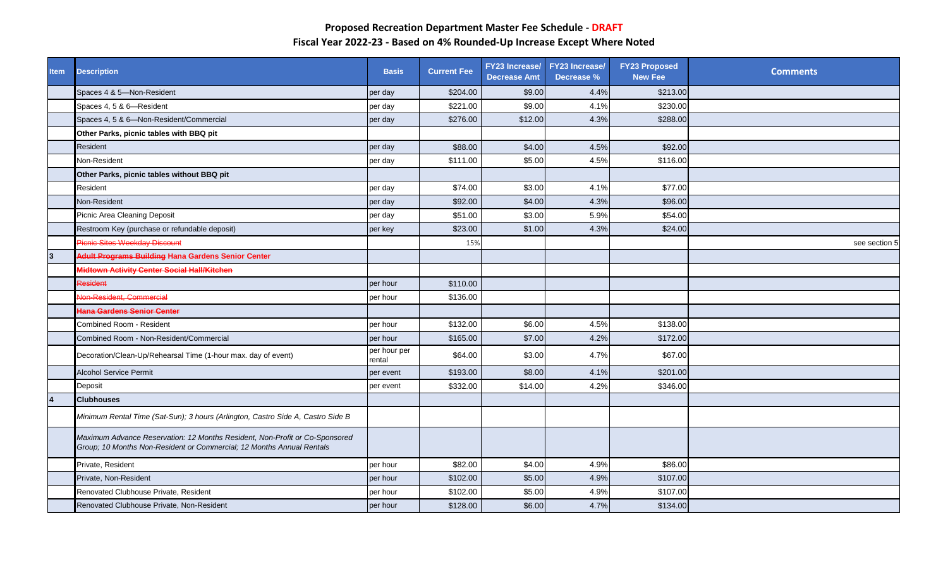| <b>Item</b>    | <b>Description</b>                                                                                                                                   | <b>Basis</b>           | <b>Current Fee</b> | <b>Decrease Amt</b> | FY23 Increase/ FY23 Increase/<br>Decrease % | <b>FY23 Proposed</b><br><b>New Fee</b> | <b>Comments</b> |
|----------------|------------------------------------------------------------------------------------------------------------------------------------------------------|------------------------|--------------------|---------------------|---------------------------------------------|----------------------------------------|-----------------|
|                | Spaces 4 & 5-Non-Resident                                                                                                                            | per day                | \$204.00           | \$9.00              | 4.4%                                        | \$213.00                               |                 |
|                | Spaces 4, 5 & 6-Resident                                                                                                                             | per day                | \$221.00           | \$9.00              | 4.1%                                        | \$230.00                               |                 |
|                | Spaces 4, 5 & 6-Non-Resident/Commercial                                                                                                              | per day                | \$276.00           | \$12.00             | 4.3%                                        | \$288.00                               |                 |
|                | Other Parks, picnic tables with BBQ pit                                                                                                              |                        |                    |                     |                                             |                                        |                 |
|                | Resident                                                                                                                                             | per day                | \$88.00            | \$4.00              | 4.5%                                        | \$92.00                                |                 |
|                | Non-Resident                                                                                                                                         | per day                | \$111.00           | \$5.00              | 4.5%                                        | \$116.00                               |                 |
|                | Other Parks, picnic tables without BBQ pit                                                                                                           |                        |                    |                     |                                             |                                        |                 |
|                | Resident                                                                                                                                             | per day                | \$74.00            | \$3.00              | 4.1%                                        | \$77.00                                |                 |
|                | Non-Resident                                                                                                                                         | per day                | \$92.00            | \$4.00              | 4.3%                                        | \$96.00                                |                 |
|                | Picnic Area Cleaning Deposit                                                                                                                         | per day                | \$51.00            | \$3.00              | 5.9%                                        | \$54.00                                |                 |
|                | Restroom Key (purchase or refundable deposit)                                                                                                        | per key                | \$23.00            | \$1.00              | 4.3%                                        | \$24.00                                |                 |
|                | Picnic Sites Weekday Discount                                                                                                                        |                        | 15%                |                     |                                             |                                        | see section 5   |
| $\overline{3}$ | <b>Adult Programs Building Hana Gardens Senior Center</b>                                                                                            |                        |                    |                     |                                             |                                        |                 |
|                | Midtown Activity Center Social Hall/Kitchen                                                                                                          |                        |                    |                     |                                             |                                        |                 |
|                | Resident                                                                                                                                             | per hour               | \$110.00           |                     |                                             |                                        |                 |
|                | Non-Resident, Commercial                                                                                                                             | per hour               | \$136.00           |                     |                                             |                                        |                 |
|                | Hana Gardens Senior Center                                                                                                                           |                        |                    |                     |                                             |                                        |                 |
|                | Combined Room - Resident                                                                                                                             | per hour               | \$132.00           | \$6.00              | 4.5%                                        | \$138.00                               |                 |
|                | Combined Room - Non-Resident/Commercial                                                                                                              | per hour               | \$165.00           | \$7.00              | 4.2%                                        | \$172.00                               |                 |
|                | Decoration/Clean-Up/Rehearsal Time (1-hour max. day of event)                                                                                        | per hour per<br>rental | \$64.00            | \$3.00              | 4.7%                                        | \$67.00                                |                 |
|                | <b>Alcohol Service Permit</b>                                                                                                                        | per event              | \$193.00           | \$8.00              | 4.1%                                        | \$201.00                               |                 |
|                | Deposit                                                                                                                                              | per event              | \$332.00           | \$14.00             | 4.2%                                        | \$346.00                               |                 |
| $\overline{4}$ | <b>Clubhouses</b>                                                                                                                                    |                        |                    |                     |                                             |                                        |                 |
|                | Minimum Rental Time (Sat-Sun); 3 hours (Arlington, Castro Side A, Castro Side B                                                                      |                        |                    |                     |                                             |                                        |                 |
|                | Maximum Advance Reservation: 12 Months Resident, Non-Profit or Co-Sponsored<br>Group; 10 Months Non-Resident or Commercial; 12 Months Annual Rentals |                        |                    |                     |                                             |                                        |                 |
|                | Private, Resident                                                                                                                                    | per hour               | \$82.00            | \$4.00              | 4.9%                                        | \$86.00                                |                 |
|                | Private, Non-Resident                                                                                                                                | per hour               | \$102.00           | \$5.00              | 4.9%                                        | \$107.00                               |                 |
|                | Renovated Clubhouse Private, Resident                                                                                                                | per hour               | \$102.00           | \$5.00              | 4.9%                                        | \$107.00                               |                 |
|                | Renovated Clubhouse Private, Non-Resident                                                                                                            | per hour               | \$128.00           | \$6.00              | 4.7%                                        | \$134.00                               |                 |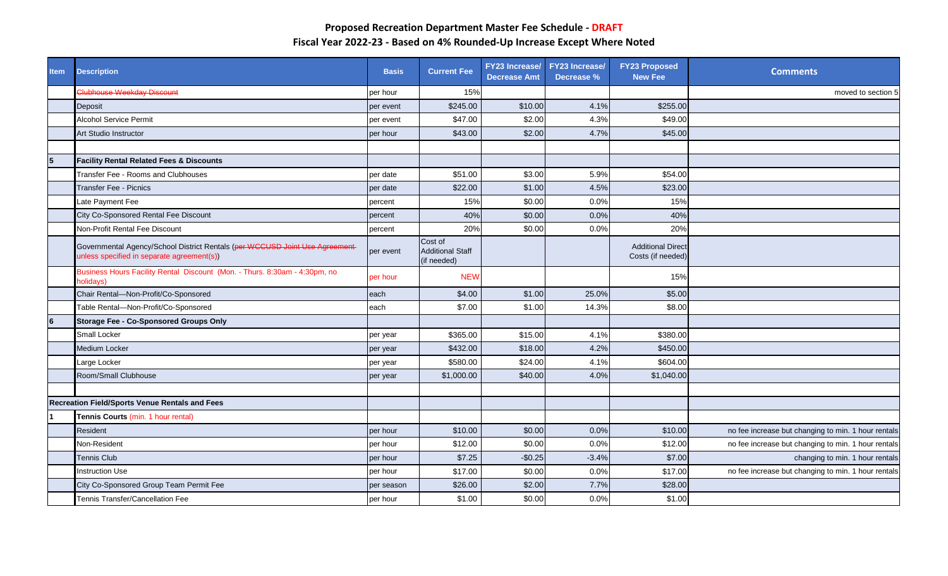| <b>Item</b> | <b>Description</b>                                                                                                        | <b>Basis</b> | <b>Current Fee</b>                                | FY23 Increase/ FY23 Increase/<br><b>Decrease Amt</b> | Decrease % | <b>FY23 Proposed</b><br><b>New Fee</b>        | <b>Comments</b>                                     |
|-------------|---------------------------------------------------------------------------------------------------------------------------|--------------|---------------------------------------------------|------------------------------------------------------|------------|-----------------------------------------------|-----------------------------------------------------|
|             | Clubhouse Weekday Discount                                                                                                | per hour     | 15%                                               |                                                      |            |                                               | moved to section 5                                  |
|             | Deposit                                                                                                                   | per event    | \$245.00                                          | \$10.00                                              | 4.1%       | \$255.00                                      |                                                     |
|             | <b>Alcohol Service Permit</b>                                                                                             | per event    | \$47.00                                           | \$2.00                                               | 4.3%       | \$49.00                                       |                                                     |
|             | Art Studio Instructor                                                                                                     | per hour     | \$43.00                                           | \$2.00                                               | 4.7%       | \$45.00                                       |                                                     |
|             |                                                                                                                           |              |                                                   |                                                      |            |                                               |                                                     |
| 5           | <b>Facility Rental Related Fees &amp; Discounts</b>                                                                       |              |                                                   |                                                      |            |                                               |                                                     |
|             | Transfer Fee - Rooms and Clubhouses                                                                                       | per date     | \$51.00                                           | \$3.00                                               | 5.9%       | \$54.00                                       |                                                     |
|             | <b>Transfer Fee - Picnics</b>                                                                                             | per date     | \$22.00                                           | \$1.00                                               | 4.5%       | \$23.00                                       |                                                     |
|             | ate Payment Fee                                                                                                           | percent      | 15%                                               | \$0.00                                               | 0.0%       | 15%                                           |                                                     |
|             | City Co-Sponsored Rental Fee Discount                                                                                     | percent      | 40%                                               | \$0.00                                               | 0.0%       | 40%                                           |                                                     |
|             | Non-Profit Rental Fee Discount                                                                                            | percent      | 20%                                               | \$0.00                                               | 0.0%       | 20%                                           |                                                     |
|             | Governmental Agency/School District Rentals (per WCCUSD Joint Use Agreement<br>inless specified in separate agreement(s)) | per event    | Cost of<br><b>Additional Staff</b><br>(if needed) |                                                      |            | <b>Additional Direct</b><br>Costs (if needed) |                                                     |
|             | Business Hours Facility Rental Discount (Mon. - Thurs. 8:30am - 4:30pm, no<br><b>olidays</b> )                            | per hour     | <b>NEW</b>                                        |                                                      |            | 15%                                           |                                                     |
|             | Chair Rental-Non-Profit/Co-Sponsored                                                                                      | each         | \$4.00                                            | \$1.00                                               | 25.0%      | \$5.00                                        |                                                     |
|             | Table Rental-Non-Profit/Co-Sponsored                                                                                      | each         | \$7.00                                            | \$1.00                                               | 14.3%      | \$8.00                                        |                                                     |
| 6           | <b>Storage Fee - Co-Sponsored Groups Only</b>                                                                             |              |                                                   |                                                      |            |                                               |                                                     |
|             | Small Locker                                                                                                              | per year     | \$365.00                                          | \$15.00                                              | 4.1%       | \$380.00                                      |                                                     |
|             | Medium Locker                                                                                                             | per year     | \$432.00                                          | \$18.00                                              | 4.2%       | \$450.00                                      |                                                     |
|             | arge Locker                                                                                                               | per year     | \$580.00                                          | \$24.00                                              | 4.1%       | \$604.00                                      |                                                     |
|             | Room/Small Clubhouse                                                                                                      | per year     | \$1,000.00                                        | \$40.00                                              | 4.0%       | \$1,040.00                                    |                                                     |
|             |                                                                                                                           |              |                                                   |                                                      |            |                                               |                                                     |
|             | <b>Recreation Field/Sports Venue Rentals and Fees</b>                                                                     |              |                                                   |                                                      |            |                                               |                                                     |
|             | Tennis Courts (min. 1 hour rental)                                                                                        |              |                                                   |                                                      |            |                                               |                                                     |
|             | Resident                                                                                                                  | per hour     | \$10.00                                           | \$0.00                                               | 0.0%       | \$10.00                                       | no fee increase but changing to min. 1 hour rentals |
|             | Non-Resident                                                                                                              | per hour     | \$12.00                                           | \$0.00                                               | 0.0%       | \$12.00                                       | no fee increase but changing to min. 1 hour rentals |
|             | Tennis Club                                                                                                               | per hour     | \$7.25                                            | $-$0.25$                                             | $-3.4%$    | \$7.00                                        | changing to min. 1 hour rentals                     |
|             | <b>Instruction Use</b>                                                                                                    | per hour     | \$17.00                                           | \$0.00                                               | 0.0%       | \$17.00                                       | no fee increase but changing to min. 1 hour rentals |
|             | City Co-Sponsored Group Team Permit Fee                                                                                   | per season   | \$26.00                                           | \$2.00                                               | 7.7%       | \$28.00                                       |                                                     |
|             | Tennis Transfer/Cancellation Fee                                                                                          | per hour     | \$1.00                                            | \$0.00                                               | 0.0%       | \$1.00                                        |                                                     |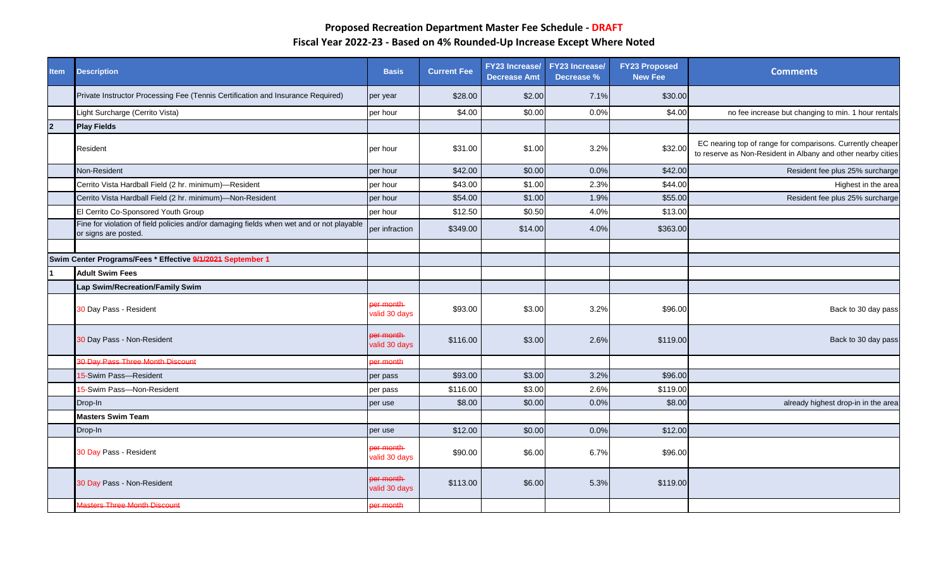| <b>Item</b>    | <b>Description</b>                                                                                               | <b>Basis</b>                      | <b>Current Fee</b> | <b>FY23 Increase/</b><br><b>Decrease Amt</b> | <b>FY23 Increase/</b><br>Decrease % | <b>FY23 Proposed</b><br><b>New Fee</b> | <b>Comments</b>                                                                                                            |
|----------------|------------------------------------------------------------------------------------------------------------------|-----------------------------------|--------------------|----------------------------------------------|-------------------------------------|----------------------------------------|----------------------------------------------------------------------------------------------------------------------------|
|                | Private Instructor Processing Fee (Tennis Certification and Insurance Required)                                  | per year                          | \$28.00            | \$2.00                                       | 7.1%                                | \$30.00                                |                                                                                                                            |
|                | Light Surcharge (Cerrito Vista)                                                                                  | per hour                          | \$4.00             | \$0.00                                       | 0.0%                                | \$4.00                                 | no fee increase but changing to min. 1 hour rentals                                                                        |
| $\overline{2}$ | <b>Play Fields</b>                                                                                               |                                   |                    |                                              |                                     |                                        |                                                                                                                            |
|                | Resident                                                                                                         | per hour                          | \$31.00            | \$1.00                                       | 3.2%                                | \$32.00                                | EC nearing top of range for comparisons. Currently cheaper<br>to reserve as Non-Resident in Albany and other nearby cities |
|                | Non-Resident                                                                                                     | per hour                          | \$42.00            | \$0.00                                       | 0.0%                                | \$42.00                                | Resident fee plus 25% surcharge                                                                                            |
|                | Cerrito Vista Hardball Field (2 hr. minimum)-Resident                                                            | per hour                          | \$43.00            | \$1.00                                       | 2.3%                                | \$44.00                                | Highest in the area                                                                                                        |
|                | Cerrito Vista Hardball Field (2 hr. minimum)-Non-Resident                                                        | per hour                          | \$54.00            | \$1.00                                       | 1.9%                                | \$55.00                                | Resident fee plus 25% surcharge                                                                                            |
|                | El Cerrito Co-Sponsored Youth Group                                                                              | per hour                          | \$12.50            | \$0.50                                       | 4.0%                                | \$13.00                                |                                                                                                                            |
|                | Fine for violation of field policies and/or damaging fields when wet and or not playable<br>or signs are posted. | per infraction                    | \$349.00           | \$14.00                                      | 4.0%                                | \$363.00                               |                                                                                                                            |
|                |                                                                                                                  |                                   |                    |                                              |                                     |                                        |                                                                                                                            |
|                | Swim Center Programs/Fees * Effective 9/1/2021 September 1                                                       |                                   |                    |                                              |                                     |                                        |                                                                                                                            |
|                | <b>Adult Swim Fees</b>                                                                                           |                                   |                    |                                              |                                     |                                        |                                                                                                                            |
|                | Lap Swim/Recreation/Family Swim                                                                                  |                                   |                    |                                              |                                     |                                        |                                                                                                                            |
|                | 30 Day Pass - Resident                                                                                           | er month<br>valid 30 days         | \$93.00            | \$3.00                                       | 3.2%                                | \$96.00                                | Back to 30 day pass                                                                                                        |
|                | <b>30 Day Pass - Non-Resident</b>                                                                                | per month<br>valid 30 days        | \$116.00           | \$3.00                                       | 2.6%                                | \$119.00                               | Back to 30 day pass                                                                                                        |
|                | 30 Day Pass Three Month Discount                                                                                 | er month                          |                    |                                              |                                     |                                        |                                                                                                                            |
|                | 5-Swim Pass-Resident                                                                                             | per pass                          | \$93.00            | \$3.00                                       | 3.2%                                | \$96.00                                |                                                                                                                            |
|                | 5-Swim Pass-Non-Resident                                                                                         | per pass                          | \$116.00           | \$3.00                                       | 2.6%                                | \$119.00                               |                                                                                                                            |
|                | Drop-In                                                                                                          | per use                           | \$8.00             | \$0.00                                       | 0.0%                                | \$8.00                                 | already highest drop-in in the area                                                                                        |
|                | <b>Masters Swim Team</b>                                                                                         |                                   |                    |                                              |                                     |                                        |                                                                                                                            |
|                | Drop-In                                                                                                          | per use                           | \$12.00            | \$0.00                                       | 0.0%                                | \$12.00                                |                                                                                                                            |
|                | 30 Day Pass - Resident                                                                                           | <b>ber</b> month<br>valid 30 days | \$90.00            | \$6.00                                       | 6.7%                                | \$96.00                                |                                                                                                                            |
|                | 30 Day Pass - Non-Resident                                                                                       | ber month<br>valid 30 days        | \$113.00           | \$6.00                                       | 5.3%                                | \$119.00                               |                                                                                                                            |
|                | Masters Three Month Discount                                                                                     | er month                          |                    |                                              |                                     |                                        |                                                                                                                            |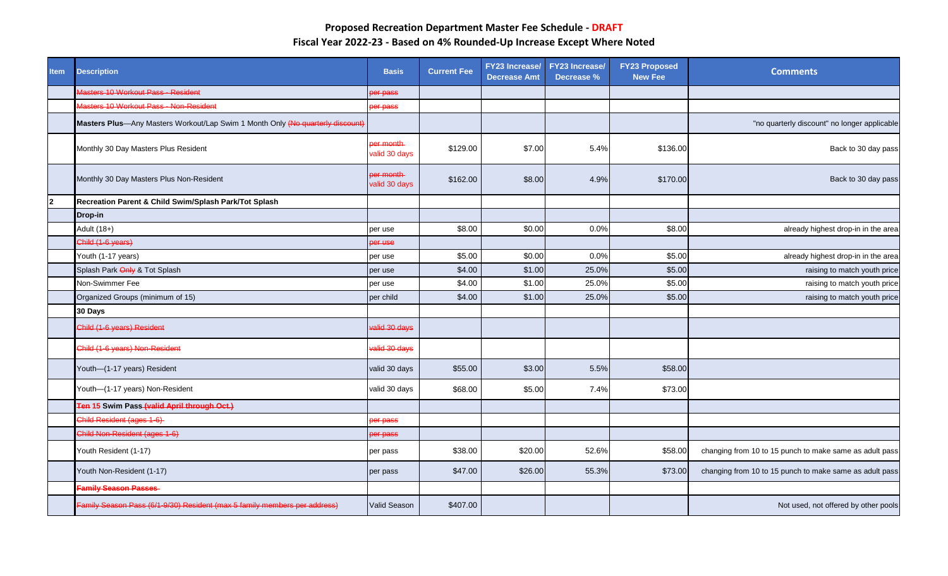| <b>Item</b>    | <b>Description</b>                                                             | <b>Basis</b>               | <b>Current Fee</b> | <b>FY23</b> Increase/<br><b>Decrease Amt</b> | <b>FY23 Increase/</b><br>Decrease % | <b>FY23 Proposed</b><br><b>New Fee</b> | <b>Comments</b>                                         |
|----------------|--------------------------------------------------------------------------------|----------------------------|--------------------|----------------------------------------------|-------------------------------------|----------------------------------------|---------------------------------------------------------|
|                | Masters 10 Workout Pass - Resident                                             | per pass                   |                    |                                              |                                     |                                        |                                                         |
|                | Masters 10 Workout Pass - Non-Resident                                         | per pass                   |                    |                                              |                                     |                                        |                                                         |
|                | Masters Plus-Any Masters Workout/Lap Swim 1 Month Only (No quarterly discount) |                            |                    |                                              |                                     |                                        | "no quarterly discount" no longer applicable            |
|                | Monthly 30 Day Masters Plus Resident                                           | per month<br>valid 30 days | \$129.00           | \$7.00                                       | 5.4%                                | \$136.00                               | Back to 30 day pass                                     |
|                | Monthly 30 Day Masters Plus Non-Resident                                       | per month<br>valid 30 days | \$162.00           | \$8.00                                       | 4.9%                                | \$170.00                               | Back to 30 day pass                                     |
| $\overline{2}$ | Recreation Parent & Child Swim/Splash Park/Tot Splash                          |                            |                    |                                              |                                     |                                        |                                                         |
|                | Drop-in                                                                        |                            |                    |                                              |                                     |                                        |                                                         |
|                | Adult (18+)                                                                    | per use                    | \$8.00             | \$0.00                                       | 0.0%                                | \$8.00                                 | already highest drop-in in the area                     |
|                | Child (1-6 years)                                                              | <del>per use</del>         |                    |                                              |                                     |                                        |                                                         |
|                | Youth (1-17 years)                                                             | per use                    | \$5.00             | \$0.00                                       | 0.0%                                | \$5.00                                 | already highest drop-in in the area                     |
|                | Splash Park Only & Tot Splash                                                  | per use                    | \$4.00             | \$1.00                                       | 25.0%                               | \$5.00                                 | raising to match youth price                            |
|                | Non-Swimmer Fee                                                                | per use                    | \$4.00             | \$1.00                                       | 25.0%                               | \$5.00                                 | raising to match youth price                            |
|                | Organized Groups (minimum of 15)                                               | per child                  | \$4.00             | \$1.00                                       | 25.0%                               | \$5.00                                 | raising to match youth price                            |
|                | 30 Days                                                                        |                            |                    |                                              |                                     |                                        |                                                         |
|                | Child (1-6 years) Resident                                                     | valid 30 days              |                    |                                              |                                     |                                        |                                                         |
|                | Child (1-6 years) Non-Resident                                                 | valid 30 days              |                    |                                              |                                     |                                        |                                                         |
|                | Youth-(1-17 years) Resident                                                    | valid 30 days              | \$55.00            | \$3.00                                       | 5.5%                                | \$58.00                                |                                                         |
|                | Youth-(1-17 years) Non-Resident                                                | valid 30 days              | \$68.00            | \$5.00                                       | 7.4%                                | \$73.00                                |                                                         |
|                | Ten 15 Swim Pass (valid April through Oct.)                                    |                            |                    |                                              |                                     |                                        |                                                         |
|                | Child Resident (ages 1-6)                                                      | ber pass                   |                    |                                              |                                     |                                        |                                                         |
|                | Child Non-Resident (ages 1-6)                                                  | per pass                   |                    |                                              |                                     |                                        |                                                         |
|                | Youth Resident (1-17)                                                          | per pass                   | \$38.00            | \$20.00                                      | 52.6%                               | \$58.00                                | changing from 10 to 15 punch to make same as adult pass |
|                | Youth Non-Resident (1-17)                                                      | per pass                   | \$47.00            | \$26.00                                      | 55.3%                               | \$73.00                                | changing from 10 to 15 punch to make same as adult pass |
|                | <b>Family Season Passes</b>                                                    |                            |                    |                                              |                                     |                                        |                                                         |
|                | Family Season Pass (6/1-9/30) Resident (max 5 family members per address)      | <b>Valid Season</b>        | \$407.00           |                                              |                                     |                                        | Not used, not offered by other pools                    |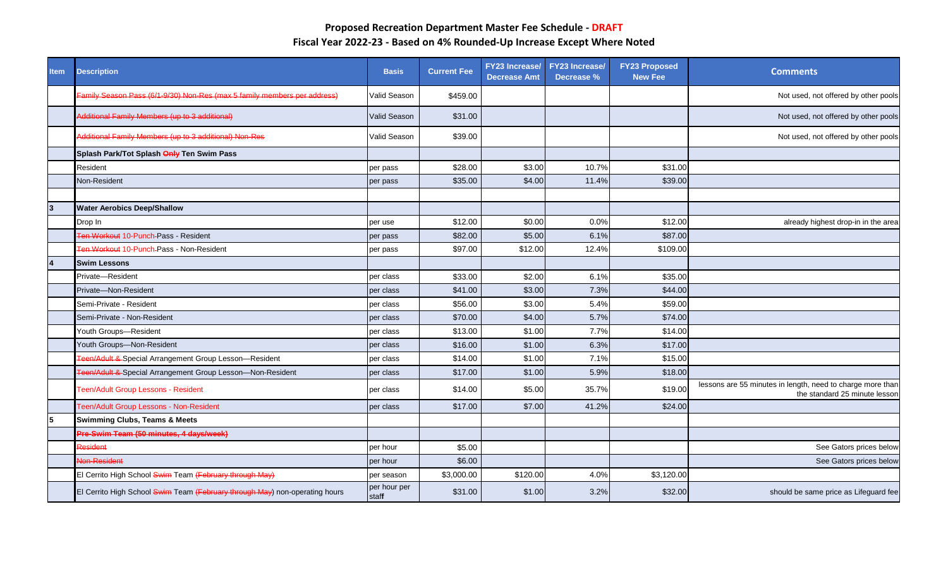| <b>Item</b> | <b>Description</b>                                                          | <b>Basis</b>          | <b>Current Fee</b> | FY23 Increase/<br><b>Decrease Amt</b> | <b>FY23 Increase/</b><br>Decrease % | <b>FY23 Proposed</b><br><b>New Fee</b> | <b>Comments</b>                                                                             |
|-------------|-----------------------------------------------------------------------------|-----------------------|--------------------|---------------------------------------|-------------------------------------|----------------------------------------|---------------------------------------------------------------------------------------------|
|             | Family Season Pass (6/1-9/30) Non-Res (max 5 family members per address)    | Valid Season          | \$459.00           |                                       |                                     |                                        | Not used, not offered by other pools                                                        |
|             | Additional Family Members (up to 3 additional)                              | Valid Season          | \$31.00            |                                       |                                     |                                        | Not used, not offered by other pools                                                        |
|             | Additional Family Members (up to 3 additional) Non-Res                      | Valid Season          | \$39.00            |                                       |                                     |                                        | Not used, not offered by other pools                                                        |
|             | Splash Park/Tot Splash Only Ten Swim Pass                                   |                       |                    |                                       |                                     |                                        |                                                                                             |
|             | Resident                                                                    | per pass              | \$28.00            | \$3.00                                | 10.7%                               | \$31.00                                |                                                                                             |
|             | Non-Resident                                                                | per pass              | \$35.00            | \$4.00                                | 11.4%                               | \$39.00                                |                                                                                             |
|             |                                                                             |                       |                    |                                       |                                     |                                        |                                                                                             |
| 13          | <b>Water Aerobics Deep/Shallow</b>                                          |                       |                    |                                       |                                     |                                        |                                                                                             |
|             | Drop In                                                                     | per use               | \$12.00            | \$0.00                                | 0.0%                                | \$12.00                                | already highest drop-in in the area                                                         |
|             | Ten Workout 10-Punch-Pass - Resident                                        | per pass              | \$82.00            | \$5.00                                | 6.1%                                | \$87.00                                |                                                                                             |
|             | <b>Fen Workout 10-Punch-Pass - Non-Resident</b>                             | per pass              | \$97.00            | \$12.00                               | 12.4%                               | \$109.00                               |                                                                                             |
| 4           | <b>Swim Lessons</b>                                                         |                       |                    |                                       |                                     |                                        |                                                                                             |
|             | Private-Resident                                                            | per class             | \$33.00            | \$2.00                                | 6.1%                                | \$35.00                                |                                                                                             |
|             | Private-Non-Resident                                                        | per class             | \$41.00            | \$3.00                                | 7.3%                                | \$44.00                                |                                                                                             |
|             | Semi-Private - Resident                                                     | per class             | \$56.00            | \$3.00                                | 5.4%                                | \$59.00                                |                                                                                             |
|             | Semi-Private - Non-Resident                                                 | per class             | \$70.00            | \$4.00                                | 5.7%                                | \$74.00                                |                                                                                             |
|             | Youth Groups-Resident                                                       | per class             | \$13.00            | \$1.00                                | 7.7%                                | \$14.00                                |                                                                                             |
|             | Youth Groups-Non-Resident                                                   | per class             | \$16.00            | \$1.00                                | 6.3%                                | \$17.00                                |                                                                                             |
|             | Teen/Adult & Special Arrangement Group Lesson-Resident                      | per class             | \$14.00            | \$1.00                                | 7.1%                                | \$15.00                                |                                                                                             |
|             | Teen/Adult & Special Arrangement Group Lesson-Non-Resident                  | per class             | \$17.00            | \$1.00                                | 5.9%                                | \$18.00                                |                                                                                             |
|             | Teen/Adult Group Lessons - Resident                                         | per class             | \$14.00            | \$5.00                                | 35.7%                               | \$19.00                                | lessons are 55 minutes in length, need to charge more than<br>the standard 25 minute lessor |
|             | Teen/Adult Group Lessons - Non-Resident                                     | per class             | \$17.00            | \$7.00                                | 41.2%                               | \$24.00                                |                                                                                             |
| 15          | <b>Swimming Clubs, Teams &amp; Meets</b>                                    |                       |                    |                                       |                                     |                                        |                                                                                             |
|             | Pre-Swim Team (50 minutes, 4 days/week)                                     |                       |                    |                                       |                                     |                                        |                                                                                             |
|             | Resident                                                                    | per hour              | \$5.00             |                                       |                                     |                                        | See Gators prices below                                                                     |
|             | Non-Resident                                                                | per hour              | \$6.00             |                                       |                                     |                                        | See Gators prices below                                                                     |
|             | El Cerrito High School Swim Team (February through May)                     | per season            | \$3,000.00         | \$120.00                              | 4.0%                                | \$3,120.00                             |                                                                                             |
|             | El Cerrito High School Swim Team (February through May) non-operating hours | per hour per<br>staff | \$31.00            | \$1.00                                | 3.2%                                | \$32.00                                | should be same price as Lifeguard fee                                                       |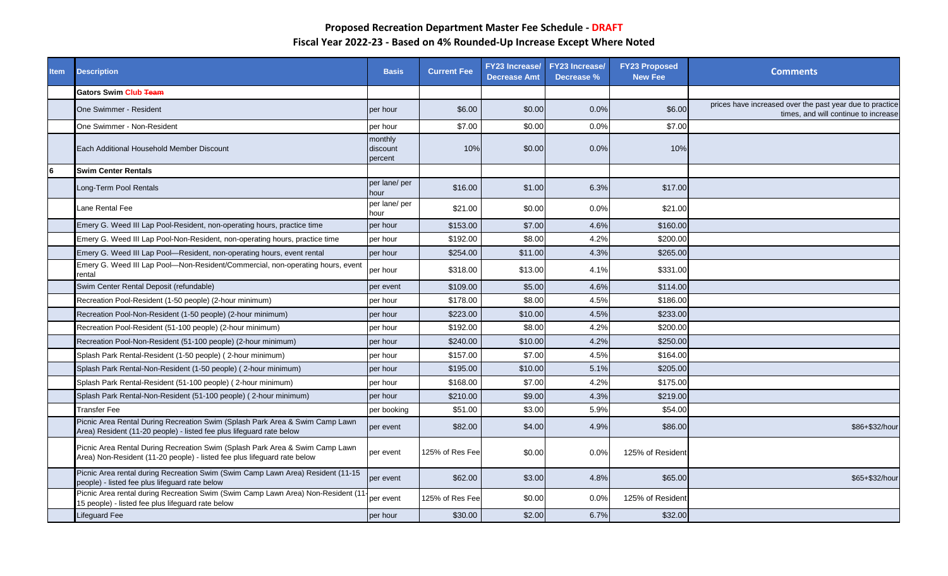| <b>Item</b> | <b>Description</b>                                                                                                                                       | <b>Basis</b>                   | <b>Current Fee</b> | <b>FY23 Increase/</b><br><b>Decrease Amt</b> | <b>FY23 Increase/</b><br>Decrease % | <b>FY23 Proposed</b><br><b>New Fee</b> | <b>Comments</b>                                                                                  |
|-------------|----------------------------------------------------------------------------------------------------------------------------------------------------------|--------------------------------|--------------------|----------------------------------------------|-------------------------------------|----------------------------------------|--------------------------------------------------------------------------------------------------|
|             | <b>Gators Swim Club Team</b>                                                                                                                             |                                |                    |                                              |                                     |                                        |                                                                                                  |
|             | One Swimmer - Resident                                                                                                                                   | per hour                       | \$6.00             | \$0.00                                       | 0.0%                                | \$6.00                                 | prices have increased over the past year due to practice<br>times, and will continue to increase |
|             | One Swimmer - Non-Resident                                                                                                                               | per hour                       | \$7.00             | \$0.00                                       | 0.0%                                | \$7.00                                 |                                                                                                  |
|             | Each Additional Household Member Discount                                                                                                                | monthly<br>discount<br>percent | 10%                | \$0.00                                       | 0.0%                                | 10%                                    |                                                                                                  |
| 6           | <b>Swim Center Rentals</b>                                                                                                                               |                                |                    |                                              |                                     |                                        |                                                                                                  |
|             | Long-Term Pool Rentals                                                                                                                                   | per lane/ per<br>hour          | \$16.00            | \$1.00                                       | 6.3%                                | \$17.00                                |                                                                                                  |
|             | Lane Rental Fee                                                                                                                                          | per lane/ per<br>hour          | \$21.00            | \$0.00                                       | 0.0%                                | \$21.00                                |                                                                                                  |
|             | Emery G. Weed III Lap Pool-Resident, non-operating hours, practice time                                                                                  | per hour                       | \$153.00           | \$7.00                                       | 4.6%                                | \$160.00                               |                                                                                                  |
|             | Emery G. Weed III Lap Pool-Non-Resident, non-operating hours, practice time                                                                              | per hour                       | \$192.00           | \$8.00                                       | 4.2%                                | \$200.00                               |                                                                                                  |
|             | Emery G. Weed III Lap Pool-Resident, non-operating hours, event rental                                                                                   | per hour                       | \$254.00           | \$11.00                                      | 4.3%                                | \$265.00                               |                                                                                                  |
|             | Emery G. Weed III Lap Pool—Non-Resident/Commercial, non-operating hours, event<br>rental                                                                 | per hour                       | \$318.00           | \$13.00                                      | 4.1%                                | \$331.00                               |                                                                                                  |
|             | Swim Center Rental Deposit (refundable)                                                                                                                  | per event                      | \$109.00           | \$5.00                                       | 4.6%                                | \$114.00                               |                                                                                                  |
|             | Recreation Pool-Resident (1-50 people) (2-hour minimum)                                                                                                  | per hour                       | \$178.00           | \$8.00                                       | 4.5%                                | \$186.00                               |                                                                                                  |
|             | Recreation Pool-Non-Resident (1-50 people) (2-hour minimum)                                                                                              | per hour                       | \$223.00           | \$10.00                                      | 4.5%                                | \$233.00                               |                                                                                                  |
|             | Recreation Pool-Resident (51-100 people) (2-hour minimum)                                                                                                | per hour                       | \$192.00           | \$8.00                                       | 4.2%                                | \$200.00                               |                                                                                                  |
|             | Recreation Pool-Non-Resident (51-100 people) (2-hour minimum)                                                                                            | per hour                       | \$240.00           | \$10.00                                      | 4.2%                                | \$250.00                               |                                                                                                  |
|             | Splash Park Rental-Resident (1-50 people) (2-hour minimum)                                                                                               | per hour                       | \$157.00           | \$7.00                                       | 4.5%                                | \$164.00                               |                                                                                                  |
|             | Splash Park Rental-Non-Resident (1-50 people) (2-hour minimum)                                                                                           | per hour                       | \$195.00           | \$10.00                                      | 5.1%                                | \$205.00                               |                                                                                                  |
|             | Splash Park Rental-Resident (51-100 people) (2-hour minimum)                                                                                             | per hour                       | \$168.00           | \$7.00                                       | 4.2%                                | \$175.00                               |                                                                                                  |
|             | Splash Park Rental-Non-Resident (51-100 people) (2-hour minimum)                                                                                         | per hour                       | \$210.00           | \$9.00                                       | 4.3%                                | \$219.00                               |                                                                                                  |
|             | <b>Transfer Fee</b>                                                                                                                                      | per booking                    | \$51.00            | \$3.00                                       | 5.9%                                | \$54.00                                |                                                                                                  |
|             | Picnic Area Rental During Recreation Swim (Splash Park Area & Swim Camp Lawn<br>Area) Resident (11-20 people) - listed fee plus lifeguard rate below     | per event                      | \$82.00            | \$4.00                                       | 4.9%                                | \$86.00                                | \$86+\$32/hour                                                                                   |
|             | Picnic Area Rental During Recreation Swim (Splash Park Area & Swim Camp Lawn<br>Area) Non-Resident (11-20 people) - listed fee plus lifeguard rate below | per event                      | 125% of Res Fee    | \$0.00                                       | 0.0%                                | 125% of Resident                       |                                                                                                  |
|             | Picnic Area rental during Recreation Swim (Swim Camp Lawn Area) Resident (11-15<br>people) - listed fee plus lifeguard rate below                        | per event                      | \$62.00            | \$3.00                                       | 4.8%                                | \$65.00                                | \$65+\$32/hour                                                                                   |
|             | Picnic Area rental during Recreation Swim (Swim Camp Lawn Area) Non-Resident (11<br>15 people) - listed fee plus lifeguard rate below                    | per event                      | 125% of Res Fee    | \$0.00                                       | 0.0%                                | 125% of Resident                       |                                                                                                  |
|             | Lifeguard Fee                                                                                                                                            | per hour                       | \$30.00            | \$2.00                                       | 6.7%                                | \$32.00                                |                                                                                                  |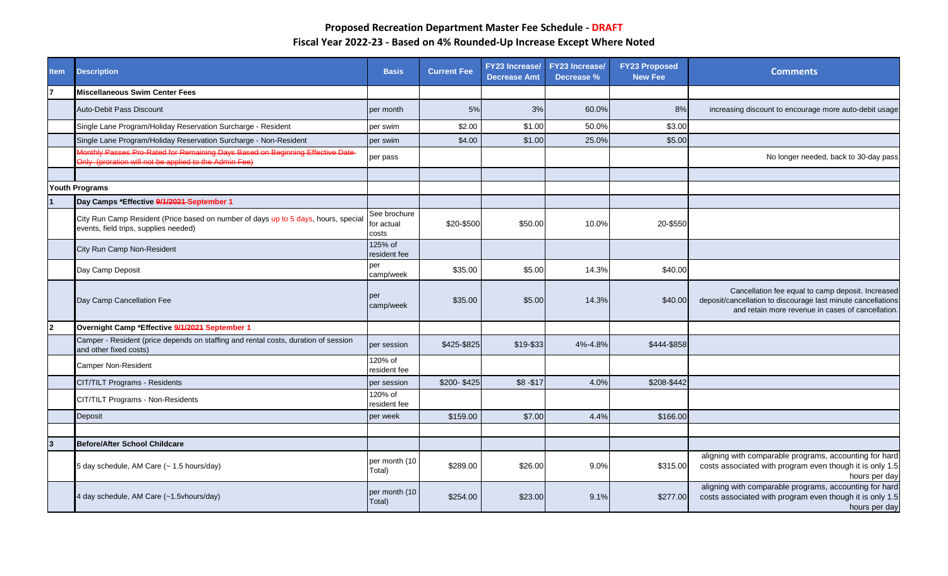| <b>Item</b>    | <b>Description</b>                                                                                                                     | <b>Basis</b>                        | <b>Current Fee</b> | <b>FY23 Increase/</b><br><b>Decrease Amt</b> | <b>FY23 Increase/</b><br>Decrease % | <b>FY23 Proposed</b><br><b>New Fee</b> | <b>Comments</b>                                                                                                                                                        |
|----------------|----------------------------------------------------------------------------------------------------------------------------------------|-------------------------------------|--------------------|----------------------------------------------|-------------------------------------|----------------------------------------|------------------------------------------------------------------------------------------------------------------------------------------------------------------------|
|                | <b>Miscellaneous Swim Center Fees</b>                                                                                                  |                                     |                    |                                              |                                     |                                        |                                                                                                                                                                        |
|                | Auto-Debit Pass Discount                                                                                                               | per month                           | 5%                 | 3%                                           | 60.0%                               | 8%                                     | increasing discount to encourage more auto-debit usage                                                                                                                 |
|                | Single Lane Program/Holiday Reservation Surcharge - Resident                                                                           | per swim                            | \$2.00             | \$1.00                                       | 50.0%                               | \$3.00                                 |                                                                                                                                                                        |
|                | Single Lane Program/Holiday Reservation Surcharge - Non-Resident                                                                       | per swim                            | \$4.00             | \$1.00                                       | 25.0%                               | \$5.00                                 |                                                                                                                                                                        |
|                | Monthly Passes Pro-Rated for Remaining Days Based on Beginning Effective Date<br>Only (proration will not be applied to the Admin Fee) | per pass                            |                    |                                              |                                     |                                        | No longer needed, back to 30-day pass                                                                                                                                  |
|                |                                                                                                                                        |                                     |                    |                                              |                                     |                                        |                                                                                                                                                                        |
|                | <b>Youth Programs</b>                                                                                                                  |                                     |                    |                                              |                                     |                                        |                                                                                                                                                                        |
|                | Day Camps *Effective 9/1/2021 September 1                                                                                              |                                     |                    |                                              |                                     |                                        |                                                                                                                                                                        |
|                | City Run Camp Resident (Price based on number of days up to 5 days, hours, special<br>events, field trips, supplies needed)            | See brochure<br>for actual<br>costs | \$20-\$500         | \$50.00                                      | 10.0%                               | 20-\$550                               |                                                                                                                                                                        |
|                | City Run Camp Non-Resident                                                                                                             | 125% of<br>resident fee             |                    |                                              |                                     |                                        |                                                                                                                                                                        |
|                | Day Camp Deposit                                                                                                                       | per<br>camp/week                    | \$35.00            | \$5.00                                       | 14.3%                               | \$40.00                                |                                                                                                                                                                        |
|                | Day Camp Cancellation Fee                                                                                                              | per<br>camp/week                    | \$35.00            | \$5.00                                       | 14.3%                               | \$40.00                                | Cancellation fee equal to camp deposit. Increased<br>deposit/cancellation to discourage last minute cancellations<br>and retain more revenue in cases of cancellation. |
| $\overline{2}$ | Overnight Camp *Effective 9/1/2021 September 1                                                                                         |                                     |                    |                                              |                                     |                                        |                                                                                                                                                                        |
|                | Camper - Resident (price depends on staffing and rental costs, duration of session<br>and other fixed costs)                           | per session                         | \$425-\$825        | \$19-\$33                                    | 4%-4.8%                             | \$444-\$858                            |                                                                                                                                                                        |
|                | Camper Non-Resident                                                                                                                    | 120% of<br>resident fee             |                    |                                              |                                     |                                        |                                                                                                                                                                        |
|                | <b>CIT/TILT Programs - Residents</b>                                                                                                   | per session                         | \$200-\$425        | $$8 - $17$                                   | 4.0%                                | \$208-\$442                            |                                                                                                                                                                        |
|                | CIT/TILT Programs - Non-Residents                                                                                                      | 120% of<br>resident fee             |                    |                                              |                                     |                                        |                                                                                                                                                                        |
|                | Deposit                                                                                                                                | per week                            | \$159.00           | \$7.00                                       | 4.4%                                | \$166.00                               |                                                                                                                                                                        |
|                |                                                                                                                                        |                                     |                    |                                              |                                     |                                        |                                                                                                                                                                        |
| 3              | <b>Before/After School Childcare</b>                                                                                                   |                                     |                    |                                              |                                     |                                        |                                                                                                                                                                        |
|                | 5 day schedule, AM Care (~ 1.5 hours/day)                                                                                              | per month (10<br>Total)             | \$289.00           | \$26.00                                      | 9.0%                                | \$315.00                               | aligning with comparable programs, accounting for hard<br>costs associated with program even though it is only 1.5<br>hours per day                                    |
|                | 4 day schedule, AM Care (~1.5vhours/day)                                                                                               | per month (10<br>Total)             | \$254.00           | \$23.00                                      | 9.1%                                | \$277.00                               | aligning with comparable programs, accounting for hard<br>costs associated with program even though it is only 1.5<br>hours per day                                    |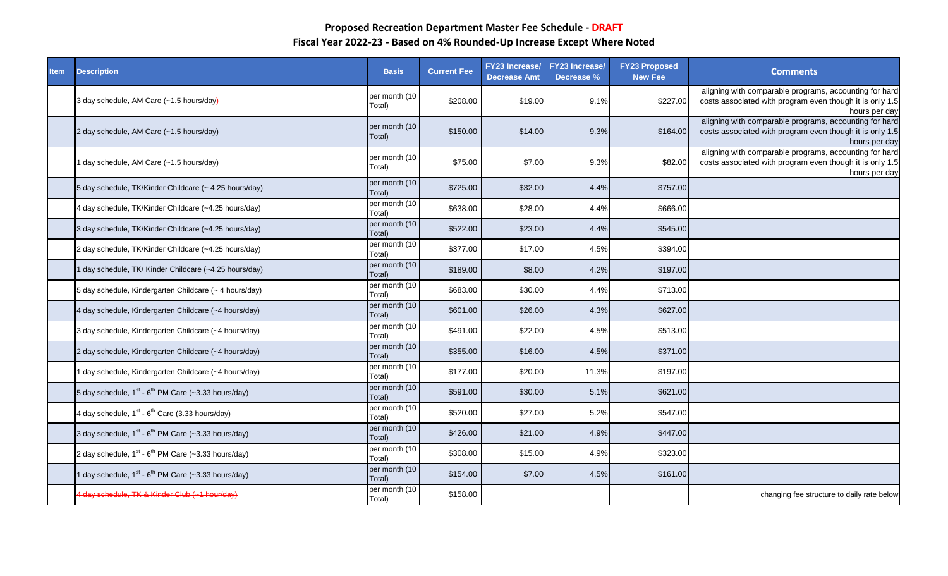| <b>Item</b> | <b>Description</b>                                                          | <b>Basis</b>            | <b>Current Fee</b> | <b>FY23 Increase/</b><br><b>Decrease Amt</b> | <b>FY23 Increase/</b><br>Decrease % | <b>FY23 Proposed</b><br><b>New Fee</b> | <b>Comments</b>                                                                                                                     |
|-------------|-----------------------------------------------------------------------------|-------------------------|--------------------|----------------------------------------------|-------------------------------------|----------------------------------------|-------------------------------------------------------------------------------------------------------------------------------------|
|             | 3 day schedule, AM Care (~1.5 hours/day)                                    | per month (10<br>Total) | \$208.00           | \$19.00                                      | 9.1%                                | \$227.00                               | aligning with comparable programs, accounting for hard<br>costs associated with program even though it is only 1.5<br>hours per day |
|             | 2 day schedule, AM Care (~1.5 hours/day)                                    | per month (10<br>Total) | \$150.00           | \$14.00                                      | 9.3%                                | \$164.00                               | aligning with comparable programs, accounting for hard<br>costs associated with program even though it is only 1.5<br>hours per day |
|             | day schedule, AM Care (~1.5 hours/day)                                      | per month (10<br>Total) | \$75.00            | \$7.00                                       | 9.3%                                | \$82.00                                | aligning with comparable programs, accounting for hard<br>costs associated with program even though it is only 1.5<br>hours per day |
|             | 5 day schedule, TK/Kinder Childcare (~ 4.25 hours/day)                      | per month (10<br>Total) | \$725.00           | \$32.00                                      | 4.4%                                | \$757.00                               |                                                                                                                                     |
|             | 4 day schedule, TK/Kinder Childcare (~4.25 hours/day)                       | per month (10<br>Total) | \$638.00           | \$28.00                                      | 4.4%                                | \$666.00                               |                                                                                                                                     |
|             | 3 day schedule, TK/Kinder Childcare (~4.25 hours/day)                       | per month (10<br>Total) | \$522.00           | \$23.00                                      | 4.4%                                | \$545.00                               |                                                                                                                                     |
|             | 2 day schedule, TK/Kinder Childcare (~4.25 hours/day)                       | per month (10<br>Total) | \$377.00           | \$17.00                                      | 4.5%                                | \$394.00                               |                                                                                                                                     |
|             | day schedule, TK/ Kinder Childcare (~4.25 hours/day)                        | per month (10<br>Total) | \$189.00           | \$8.00                                       | 4.2%                                | \$197.00                               |                                                                                                                                     |
|             | 5 day schedule, Kindergarten Childcare (~ 4 hours/day)                      | per month (10<br>Total) | \$683.00           | \$30.00                                      | 4.4%                                | \$713.00                               |                                                                                                                                     |
|             | 4 day schedule, Kindergarten Childcare (~4 hours/day)                       | per month (10<br>Total) | \$601.00           | \$26.00                                      | 4.3%                                | \$627.00                               |                                                                                                                                     |
|             | 3 day schedule, Kindergarten Childcare (~4 hours/day)                       | per month (10<br>Total) | \$491.00           | \$22.00                                      | 4.5%                                | \$513.00                               |                                                                                                                                     |
|             | 2 day schedule, Kindergarten Childcare (~4 hours/day)                       | per month (10<br>Total) | \$355.00           | \$16.00                                      | 4.5%                                | \$371.00                               |                                                                                                                                     |
|             | day schedule, Kindergarten Childcare (~4 hours/day)                         | per month (10<br>Total) | \$177.00           | \$20.00                                      | 11.3%                               | \$197.00                               |                                                                                                                                     |
|             | 5 day schedule, $1^{st}$ - $6^{th}$ PM Care (~3.33 hours/day)               | per month (10<br>Total) | \$591.00           | \$30.00                                      | 5.1%                                | \$621.00                               |                                                                                                                                     |
|             | 4 day schedule, $1^{st}$ - $6^{th}$ Care (3.33 hours/day)                   | per month (10<br>Total) | \$520.00           | \$27.00                                      | 5.2%                                | \$547.00                               |                                                                                                                                     |
|             | 3 day schedule, 1 <sup>st</sup> - 6 <sup>th</sup> PM Care (~3.33 hours/day) | per month (10<br>Total) | \$426.00           | \$21.00                                      | 4.9%                                | \$447.00                               |                                                                                                                                     |
|             | 2 day schedule, $1^{st}$ - $6^{th}$ PM Care (~3.33 hours/day)               | per month (10<br>Total) | \$308.00           | \$15.00                                      | 4.9%                                | \$323.00                               |                                                                                                                                     |
|             | day schedule, 1 <sup>st</sup> - 6 <sup>th</sup> PM Care (~3.33 hours/day)   | per month (10<br>Total) | \$154.00           | \$7.00                                       | 4.5%                                | \$161.00                               |                                                                                                                                     |
|             | 4 day schedule, TK & Kinder Club (~1 hour/day)                              | per month (10<br>Total) | \$158.00           |                                              |                                     |                                        | changing fee structure to daily rate below                                                                                          |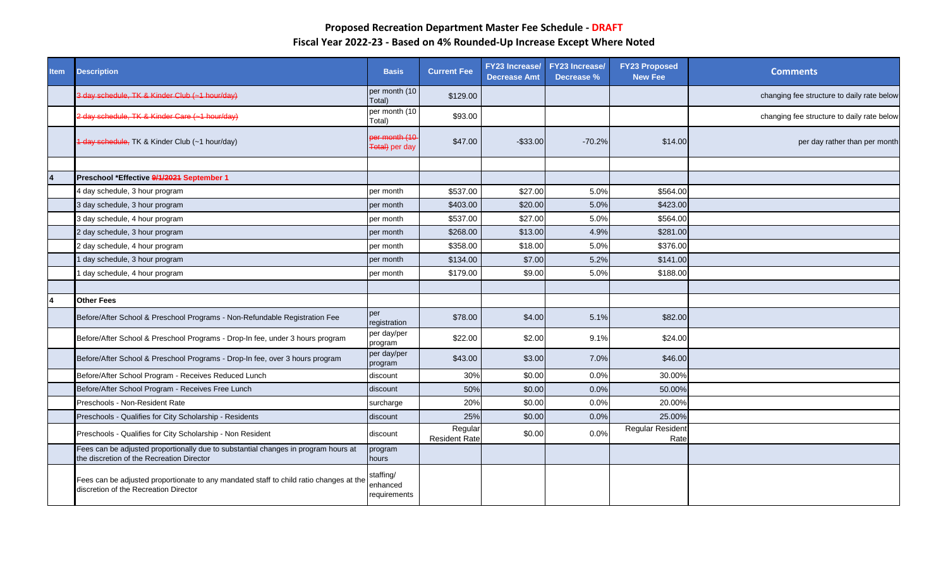| <b>Item</b> | <b>Description</b>                                                                                                              | <b>Basis</b>                          | <b>Current Fee</b>              | <b>Decrease Amt</b> | FY23 Increase/ FY23 Increase/<br>Decrease % | <b>FY23 Proposed</b><br>New Fee | <b>Comments</b>                            |
|-------------|---------------------------------------------------------------------------------------------------------------------------------|---------------------------------------|---------------------------------|---------------------|---------------------------------------------|---------------------------------|--------------------------------------------|
|             | 3 day schedule, TK & Kinder Club (~1 hour/day)                                                                                  | per month (10<br>Total)               | \$129.00                        |                     |                                             |                                 | changing fee structure to daily rate below |
|             | 2 day schedule, TK & Kinder Care (~1 hour/day)                                                                                  | per month (10<br>Total)               | \$93.00                         |                     |                                             |                                 | changing fee structure to daily rate below |
|             | 1 day schedule, TK & Kinder Club (~1 hour/day)                                                                                  | er month (10<br>Total) per day        | \$47.00                         | $-$33.00$           | $-70.2%$                                    | \$14.00                         | per day rather than per month              |
|             |                                                                                                                                 |                                       |                                 |                     |                                             |                                 |                                            |
|             | Preschool *Effective 9/1/2021 September 1                                                                                       |                                       |                                 |                     |                                             |                                 |                                            |
|             | 4 day schedule, 3 hour program                                                                                                  | per month                             | \$537.00                        | \$27.00             | 5.0%                                        | \$564.00                        |                                            |
|             | 3 day schedule, 3 hour program                                                                                                  | per month                             | \$403.00                        | \$20.00             | 5.0%                                        | \$423.00                        |                                            |
|             | 3 day schedule, 4 hour program                                                                                                  | per month                             | \$537.00                        | \$27.00             | 5.0%                                        | \$564.00                        |                                            |
|             | 2 day schedule, 3 hour program                                                                                                  | per month                             | \$268.00                        | \$13.00             | 4.9%                                        | \$281.00                        |                                            |
|             | 2 day schedule, 4 hour program                                                                                                  | per month                             | \$358.00                        | \$18.00             | 5.0%                                        | \$376.00                        |                                            |
|             | day schedule, 3 hour program                                                                                                    | per month                             | \$134.00                        | \$7.00              | 5.2%                                        | \$141.00                        |                                            |
|             | day schedule, 4 hour program                                                                                                    | per month                             | \$179.00                        | \$9.00              | 5.0%                                        | \$188.00                        |                                            |
|             |                                                                                                                                 |                                       |                                 |                     |                                             |                                 |                                            |
|             | <b>Other Fees</b>                                                                                                               |                                       |                                 |                     |                                             |                                 |                                            |
|             | Before/After School & Preschool Programs - Non-Refundable Registration Fee                                                      | per<br>registration                   | \$78.00                         | \$4.00              | 5.1%                                        | \$82.00                         |                                            |
|             | Before/After School & Preschool Programs - Drop-In fee, under 3 hours program                                                   | per day/per<br>program                | \$22.00                         | \$2.00              | 9.1%                                        | \$24.00                         |                                            |
|             | Before/After School & Preschool Programs - Drop-In fee, over 3 hours program                                                    | per day/per<br>program                | \$43.00                         | \$3.00              | 7.0%                                        | \$46.00                         |                                            |
|             | Before/After School Program - Receives Reduced Lunch                                                                            | discount                              | 30%                             | \$0.00              | 0.0%                                        | 30.00%                          |                                            |
|             | Before/After School Program - Receives Free Lunch                                                                               | discount                              | 50%                             | \$0.00              | 0.0%                                        | 50.00%                          |                                            |
|             | Preschools - Non-Resident Rate                                                                                                  | surcharge                             | 20%                             | \$0.00              | 0.0%                                        | 20.00%                          |                                            |
|             | Preschools - Qualifies for City Scholarship - Residents                                                                         | discount                              | 25%                             | \$0.00              | 0.0%                                        | 25.00%                          |                                            |
|             | Preschools - Qualifies for City Scholarship - Non Resident                                                                      | discount                              | Regular<br><b>Resident Rate</b> | \$0.00              | 0.0%                                        | <b>Regular Resident</b><br>Rate |                                            |
|             | Fees can be adjusted proportionally due to substantial changes in program hours at<br>the discretion of the Recreation Director | program<br>hours                      |                                 |                     |                                             |                                 |                                            |
|             | Fees can be adjusted proportionate to any mandated staff to child ratio changes at the<br>discretion of the Recreation Director | staffing/<br>enhanced<br>requirements |                                 |                     |                                             |                                 |                                            |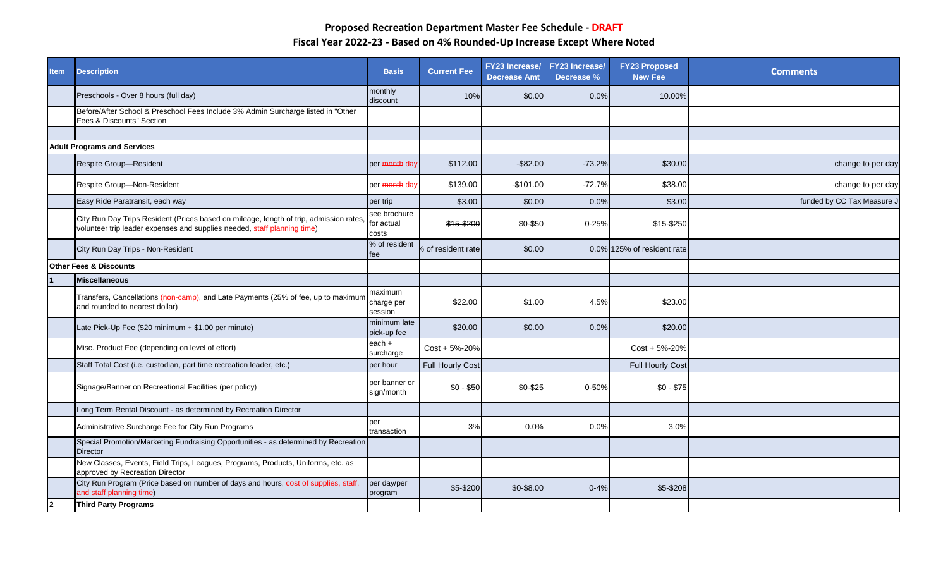| <b>Item</b>    | <b>Description</b>                                                                                                                                                 | <b>Basis</b>                        | <b>Current Fee</b>      | <b>FY23</b> Increase/<br><b>Decrease Amt</b> | <b>FY23 Increase/</b><br>Decrease % | <b>FY23 Proposed</b><br><b>New Fee</b> | <b>Comments</b>           |
|----------------|--------------------------------------------------------------------------------------------------------------------------------------------------------------------|-------------------------------------|-------------------------|----------------------------------------------|-------------------------------------|----------------------------------------|---------------------------|
|                | Preschools - Over 8 hours (full day)                                                                                                                               | monthly<br>discount                 | 10%                     | \$0.00                                       | 0.0%                                | 10.00%                                 |                           |
|                | Before/After School & Preschool Fees Include 3% Admin Surcharge listed in "Other<br>Fees & Discounts" Section                                                      |                                     |                         |                                              |                                     |                                        |                           |
|                |                                                                                                                                                                    |                                     |                         |                                              |                                     |                                        |                           |
|                | <b>Adult Programs and Services</b>                                                                                                                                 |                                     |                         |                                              |                                     |                                        |                           |
|                | Respite Group-Resident                                                                                                                                             | per <del>month</del> day            | \$112.00                | $-$ \$82.00                                  | $-73.2%$                            | \$30.00                                | change to per day         |
|                | Respite Group-Non-Resident                                                                                                                                         | per month day                       | \$139.00                | $-$101.00$                                   | $-72.7%$                            | \$38.00                                | change to per day         |
|                | Easy Ride Paratransit, each way                                                                                                                                    | per trip                            | \$3.00                  | \$0.00                                       | 0.0%                                | \$3.00                                 | funded by CC Tax Measure. |
|                | City Run Day Trips Resident (Prices based on mileage, length of trip, admission rates,<br>volunteer trip leader expenses and supplies needed, staff planning time) | see brochure<br>for actual<br>costs | \$15-\$200              | \$0-\$50                                     | $0 - 25%$                           | \$15-\$250                             |                           |
|                | City Run Day Trips - Non-Resident                                                                                                                                  | % of resident<br>fee                | of resident rate        | \$0.00                                       |                                     | 0.0% 125% of resident rate             |                           |
|                | <b>Other Fees &amp; Discounts</b>                                                                                                                                  |                                     |                         |                                              |                                     |                                        |                           |
|                | <b>Miscellaneous</b>                                                                                                                                               |                                     |                         |                                              |                                     |                                        |                           |
|                | Transfers, Cancellations (non-camp), and Late Payments (25% of fee, up to maximum<br>and rounded to nearest dollar)                                                | maximum<br>charge per<br>session    | \$22.00                 | \$1.00                                       | 4.5%                                | \$23.00                                |                           |
|                | Late Pick-Up Fee (\$20 minimum + \$1.00 per minute)                                                                                                                | minimum late<br>pick-up fee         | \$20.00                 | \$0.00                                       | 0.0%                                | \$20.00                                |                           |
|                | Misc. Product Fee (depending on level of effort)                                                                                                                   | each +<br>surcharge                 | Cost + 5%-20%           |                                              |                                     | Cost + 5%-20%                          |                           |
|                | Staff Total Cost (i.e. custodian, part time recreation leader, etc.)                                                                                               | per hour                            | <b>Full Hourly Cost</b> |                                              |                                     | <b>Full Hourly Cost</b>                |                           |
|                | Signage/Banner on Recreational Facilities (per policy)                                                                                                             | per banner or<br>sign/month         | $$0 - $50$              | \$0-\$25                                     | 0-50%                               | $$0 - $75$                             |                           |
|                | Long Term Rental Discount - as determined by Recreation Director                                                                                                   |                                     |                         |                                              |                                     |                                        |                           |
|                | Administrative Surcharge Fee for City Run Programs                                                                                                                 | per<br>transaction                  | 3%                      | 0.0%                                         | 0.0%                                | 3.0%                                   |                           |
|                | Special Promotion/Marketing Fundraising Opportunities - as determined by Recreation<br><b>Director</b>                                                             |                                     |                         |                                              |                                     |                                        |                           |
|                | New Classes, Events, Field Trips, Leagues, Programs, Products, Uniforms, etc. as<br>approved by Recreation Director                                                |                                     |                         |                                              |                                     |                                        |                           |
|                | City Run Program (Price based on number of days and hours, cost of supplies, staff,<br>and staff planning time)                                                    | per day/per<br>program              | \$5-\$200               | \$0-\$8.00                                   | $0 - 4%$                            | \$5-\$208                              |                           |
| $\overline{2}$ | <b>Third Party Programs</b>                                                                                                                                        |                                     |                         |                                              |                                     |                                        |                           |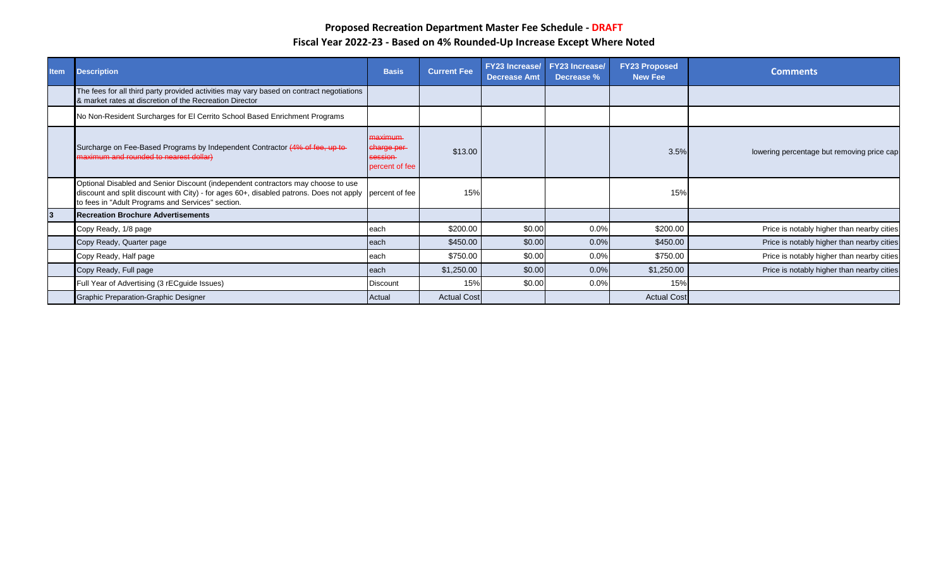| <b>Item</b> | <b>Description</b>                                                                                                                                                                                                                              | <b>Basis</b>                                        | <b>Current Fee</b> | <b>FY23 Increase/</b><br><b>Decrease Amt</b> | <b>FY23 Increase/</b><br>Decrease % | <b>FY23 Proposed</b><br><b>New Fee</b> | <b>Comments</b>                            |
|-------------|-------------------------------------------------------------------------------------------------------------------------------------------------------------------------------------------------------------------------------------------------|-----------------------------------------------------|--------------------|----------------------------------------------|-------------------------------------|----------------------------------------|--------------------------------------------|
|             | The fees for all third party provided activities may vary based on contract negotiations<br>& market rates at discretion of the Recreation Director                                                                                             |                                                     |                    |                                              |                                     |                                        |                                            |
|             | No Non-Resident Surcharges for El Cerrito School Based Enrichment Programs                                                                                                                                                                      |                                                     |                    |                                              |                                     |                                        |                                            |
|             | Surcharge on Fee-Based Programs by Independent Contractor (4% of fee, up to-<br>maximum and rounded to nearest dollar)                                                                                                                          | maximum-<br>charge per<br>session<br>percent of fee | \$13.00            |                                              |                                     | 3.5%                                   | lowering percentage but removing price cap |
|             | Optional Disabled and Senior Discount (independent contractors may choose to use<br>discount and split discount with City) - for ages 60+, disabled patrons. Does not apply percent of fee<br>to fees in "Adult Programs and Services" section. |                                                     | 15%                |                                              |                                     | 15%                                    |                                            |
| 3           | <b>Recreation Brochure Advertisements</b>                                                                                                                                                                                                       |                                                     |                    |                                              |                                     |                                        |                                            |
|             | Copy Ready, 1/8 page                                                                                                                                                                                                                            | each                                                | \$200.00           | \$0.00                                       | 0.0%                                | \$200.00                               | Price is notably higher than nearby cities |
|             | Copy Ready, Quarter page                                                                                                                                                                                                                        | each                                                | \$450.00           | \$0.00                                       | 0.0%                                | \$450.00                               | Price is notably higher than nearby cities |
|             | Copy Ready, Half page                                                                                                                                                                                                                           | each                                                | \$750.00           | \$0.00                                       | 0.0%                                | \$750.00                               | Price is notably higher than nearby cities |
|             | Copy Ready, Full page                                                                                                                                                                                                                           | each                                                | \$1,250.00         | \$0.00                                       | 0.0%                                | \$1,250.00                             | Price is notably higher than nearby cities |
|             | Full Year of Advertising (3 rECguide Issues)                                                                                                                                                                                                    | <b>Discount</b>                                     | 15%                | \$0.00                                       | 0.0%                                | 15%                                    |                                            |
|             | Graphic Preparation-Graphic Designer                                                                                                                                                                                                            | Actual                                              | <b>Actual Cost</b> |                                              |                                     | <b>Actual Cost</b>                     |                                            |